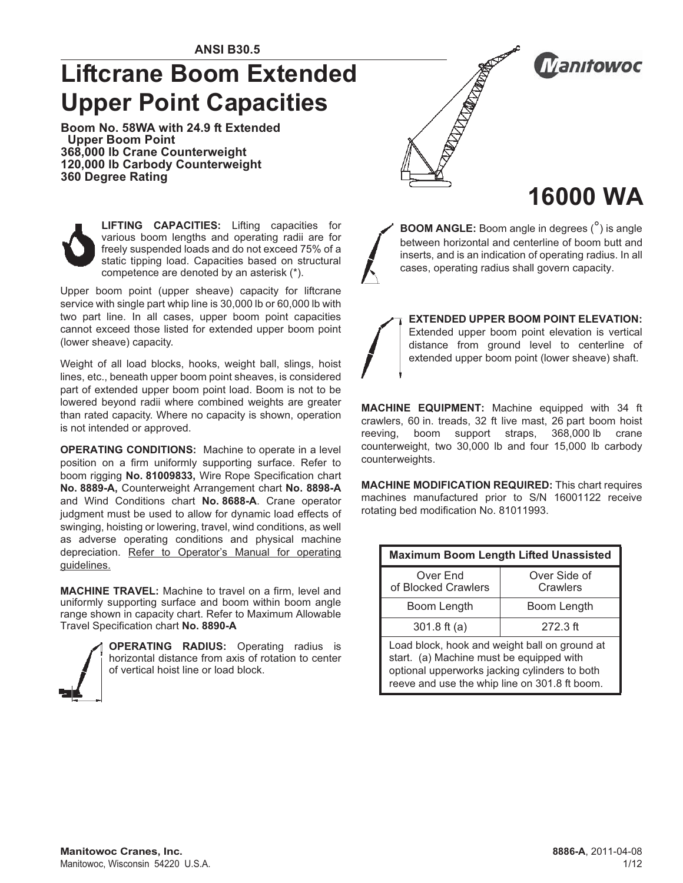# **Liftcrane Boom Extended Upper Point Capacities**

**Boom No. 58WA with 24.9 ft Extended Upper Boom Point 368,000 lb Crane Counterweight 120,000 lb Carbody Counterweight 360 Degree Rating**



**LIFTING CAPACITIES:** Lifting capacities for various boom lengths and operating radii are for freely suspended loads and do not exceed 75% of a static tipping load. Capacities based on structural competence are denoted by an asterisk (\*).

Upper boom point (upper sheave) capacity for liftcrane service with single part whip line is 30,000 lb or 60,000 lb with two part line. In all cases, upper boom point capacities cannot exceed those listed for extended upper boom point (lower sheave) capacity.

Weight of all load blocks, hooks, weight ball, slings, hoist lines, etc., beneath upper boom point sheaves, is considered part of extended upper boom point load. Boom is not to be lowered beyond radii where combined weights are greater than rated capacity. Where no capacity is shown, operation is not intended or approved.

**OPERATING CONDITIONS:** Machine to operate in a level position on a firm uniformly supporting surface. Refer to boom rigging **No. 81009833,** Wire Rope Specification chart **No. 8889-A,** Counterweight Arrangement chart **No. 8898-A** and Wind Conditions chart **No. 8688-A**. Crane operator judgment must be used to allow for dynamic load effects of swinging, hoisting or lowering, travel, wind conditions, as well as adverse operating conditions and physical machine depreciation. Refer to Operator's Manual for operating guidelines.

**MACHINE TRAVEL:** Machine to travel on a firm, level and uniformly supporting surface and boom within boom angle range shown in capacity chart. Refer to Maximum Allowable Travel Specification chart **No. 8890-A**



**OPERATING RADIUS:** Operating radius is horizontal distance from axis of rotation to center of vertical hoist line or load block.



**Manifowoc** 

# **16000 WA**

**BOOM ANGLE:** Boom angle in degrees (°) is angle between horizontal and centerline of boom butt and inserts, and is an indication of operating radius. In all cases, operating radius shall govern capacity.

**EXTENDED UPPER BOOM POINT ELEVATION:** Extended upper boom point elevation is vertical distance from ground level to centerline of extended upper boom point (lower sheave) shaft.

**MACHINE EQUIPMENT:** Machine equipped with 34 ft crawlers, 60 in. treads, 32 ft live mast, 26 part boom hoist reeving, boom support straps, 368,000 lb crane counterweight, two 30,000 lb and four 15,000 lb carbody counterweights.

**MACHINE MODIFICATION REQUIRED:** This chart requires machines manufactured prior to S/N 16001122 receive rotating bed modification No. 81011993.

| <b>Maximum Boom Length Lifted Unassisted</b>                                                                                                                                                |                          |  |  |  |  |
|---------------------------------------------------------------------------------------------------------------------------------------------------------------------------------------------|--------------------------|--|--|--|--|
| Over End<br>of Blocked Crawlers                                                                                                                                                             | Over Side of<br>Crawlers |  |  |  |  |
| Boom Length                                                                                                                                                                                 | Boom Length              |  |  |  |  |
| 301.8 ft (a)                                                                                                                                                                                | $272.3$ ft               |  |  |  |  |
| Load block, hook and weight ball on ground at<br>start. (a) Machine must be equipped with<br>optional upperworks jacking cylinders to both<br>reeve and use the whip line on 301.8 ft boom. |                          |  |  |  |  |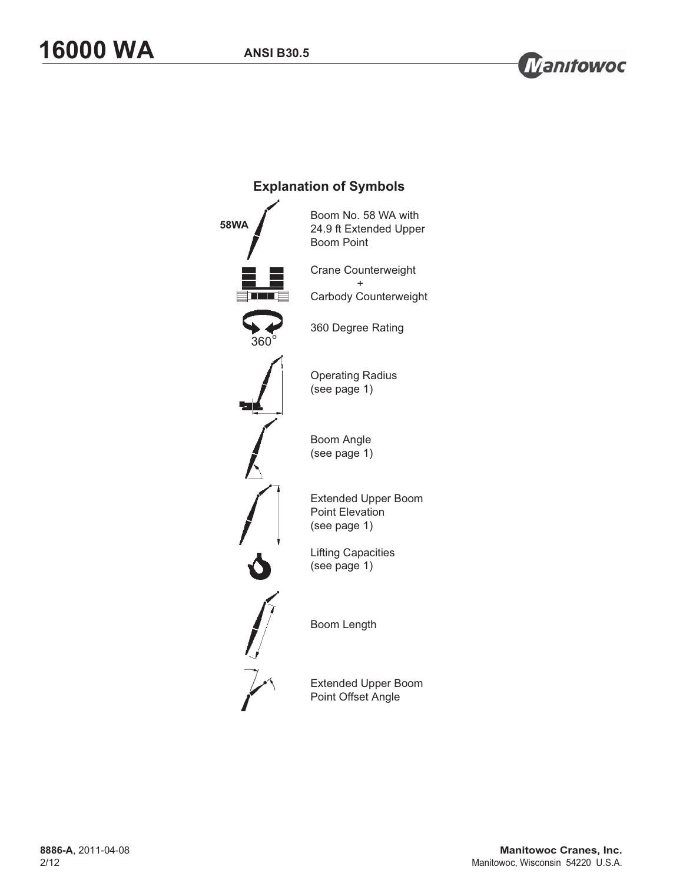

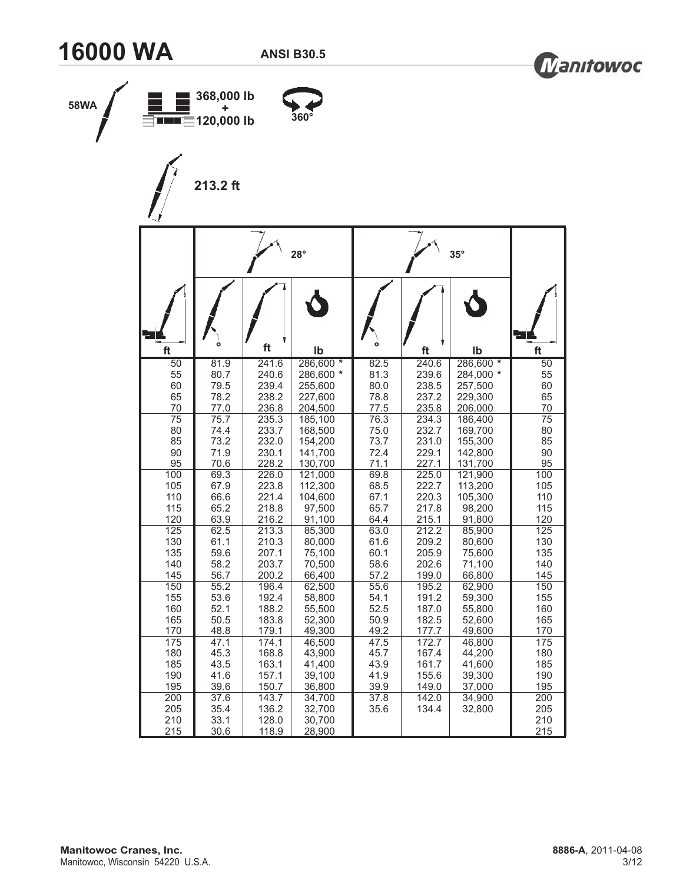



| 58WA | <b>EIIIIEE 120,000 lb</b> | 368,000 lb<br>٠<br>213.2 ft  |                                  | $360^\circ$                          |              |                |                  |                          |
|------|---------------------------|------------------------------|----------------------------------|--------------------------------------|--------------|----------------|------------------|--------------------------|
|      |                           |                              |                                  | $28^\circ$                           |              |                | $35^\circ$       |                          |
|      | ft                        | $\circ$                      | ft                               | lb                                   |              | ft             | Ib               | ft                       |
|      | $\overline{50}$           | 81.9                         | 241.6                            | 286,600 *                            | 82.5         | 240.6          | 286,600 *        | $\overline{50}$          |
|      | 55                        | 80.7                         | 240.6                            | 286,600 *                            | 81.3         | 239.6          | 284,000 *        | 55                       |
|      | 60                        | 79.5                         | 239.4                            | 255,600                              | 80.0         | 238.5          | 257,500          | 60                       |
|      | 65                        | 78.2                         | 238.2                            | 227,600                              | 78.8         | 237.2          | 229,300          | 65                       |
|      | 70                        | 77.0                         | 236.8                            | 204,500                              | 77.5         | 235.8          | 206,000          | 70                       |
|      | $\overline{75}$           | 75.7                         | 235.3                            | 185,100                              | 76.3         | 234.3          | 186,400          | $\overline{75}$          |
|      | 80                        | 74.4                         | 233.7                            | 168,500                              | 75.0         | 232.7          | 169,700          | 80                       |
|      | 85                        | 73.2                         | 232.0                            | 154,200                              | 73.7         | 231.0          | 155,300          | 85                       |
|      | 90                        | 71.9                         | 230.1                            | 141,700                              | 72.4         | 229.1          | 142,800          | 90                       |
|      | 95                        | 70.6                         | 228.2                            | 130,700                              | 71.1         | 227.1          | 131,700          | 95                       |
|      | 100                       | 69.3                         | 226.0                            | 121,000                              | 69.8         | 225.0          | 121,900          | 100                      |
|      | 105                       | 67.9                         | 223.8                            | 112,300                              | 68.5         | 222.7          | 113,200          | 105                      |
|      | 110                       | 66.6                         | 221.4                            | 104,600                              | 67.1         | 220.3          | 105,300          | 110                      |
|      | 115                       | 65.2                         | 218.8                            | 97,500                               | 65.7         | 217.8          | 98,200           | 115                      |
|      | 120                       | 63.9                         | 216.2                            | 91,100                               | 64.4         | 215.1          | 91,800           | 120                      |
|      | 125                       | 62.5                         | 213.3                            | 85,300                               | 63.0         | 212.2          | 85,900           | 125                      |
|      | 130                       | 61.1                         | 210.3                            | 80,000                               | 61.6         | 209.2          | 80,600           | 130                      |
|      | 135                       | 59.6                         | 207.1                            | 75,100                               | 60.1         | 205.9          | 75,600           | 135                      |
|      | 140                       | 58.2                         | 203.7                            | 70,500                               | 58.6         | 202.6          | 71,100           | 140                      |
|      | 145                       | 56.7                         | 200.2                            | 66,400                               | 57.2         | 199.0          | 66,800           | 145                      |
|      | 150                       | 55.2                         | 196.4                            | 62,500                               | 55.6         | 195.2          | 62,900           | 150                      |
|      | 155                       | 53.6                         | 192.4                            | 58,800                               | 54.1         | 191.2          | 59,300           | 155                      |
|      | 160                       | 52.1                         | 188.2                            | 55,500                               | 52.5         | 187.0          | 55,800           | 160                      |
|      | 165                       | $50.5\,$                     | 183.8                            | 52,300                               | 50.9         | 182.5          | 52,600           | 165                      |
|      | 170                       | 48.8                         | 179.1                            | 49,300                               | 49.2         | 177.7          | 49,600           | 170                      |
|      | 175                       | $\overline{47.1}$            | 174.1                            | 46,500                               | 47.5         | 172.7          | 46,800           | 175                      |
|      | 180                       | 45.3                         | 168.8                            | 43,900                               | 45.7         | 167.4          | 44,200           | 180                      |
|      | 185                       | 43.5                         | 163.1                            | 41,400                               | 43.9         | 161.7          | 41,600           | 185                      |
|      | 190                       | 41.6                         | 157.1                            | 39,100                               | 41.9         | 155.6          | 39,300           | 190                      |
|      | 195                       | 39.6                         | 150.7                            | 36,800                               | 39.9         | 149.0          | 37,000           | 195                      |
|      | 200<br>205<br>210<br>215  | 37.6<br>35.4<br>33.1<br>30.6 | 143.7<br>136.2<br>128.0<br>118.9 | 34,700<br>32,700<br>30,700<br>28,900 | 37.8<br>35.6 | 142.0<br>134.4 | 34,900<br>32,800 | 200<br>205<br>210<br>215 |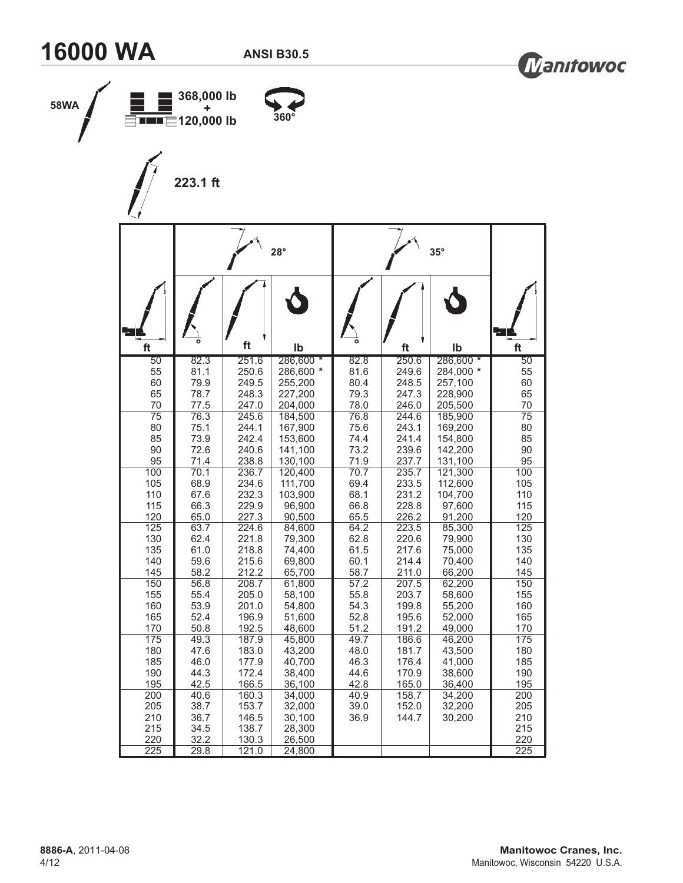



| 58WA |                 | 368,000 lb<br>120,000 lb<br>223.1 ft |                | 360°                 |              |                |                      |                 |
|------|-----------------|--------------------------------------|----------------|----------------------|--------------|----------------|----------------------|-----------------|
|      |                 |                                      |                | $28^\circ$           |              |                | $35^\circ$           |                 |
|      |                 |                                      |                |                      |              |                |                      |                 |
|      | ft              |                                      | ft             | lb                   |              | ft             | Ib                   | ft              |
|      | 50              | 82.3                                 | 251.6          | 286,600 *            | 82.8         | 250.6          | 286,600 *            | 50              |
|      | 55<br>60        | 81.1<br>79.9                         | 250.6<br>249.5 | 286,600 *<br>255,200 | 81.6<br>80.4 | 249.6<br>248.5 | 284,000 *<br>257,100 | 55<br>60        |
|      | 65              | 78.7                                 | 248.3          | 227,200              | 79.3         | 247.3          | 228,900              | 65              |
|      | 70              | 77.5                                 | 247.0          | 204,000              | 78.0         | 246.0          | 205,500              | 70              |
|      | $\overline{75}$ | 76.3                                 | 245.6          | 184,500              | 76.8         | 244.6          | 185,900              | $\overline{75}$ |
|      | 80<br>85        | 75.1<br>73.9                         | 244.1<br>242.4 | 167,900<br>153,600   | 75.6<br>74.4 | 243.1<br>241.4 | 169,200<br>154,800   | 80<br>85        |
|      | 90              | 72.6                                 | 240.6          | 141,100              | 73.2         | 239.6          | 142,200              | 90              |
|      | 95              | 71.4                                 | 238.8          | 130,100              | 71.9         | 237.7          | 131,100              | 95              |
|      | 100             | 70.1                                 | 236.7          | 120,400              | 70.7         | 235.7          | 121,300              | 100             |
|      | 105             | 68.9                                 | 234.6          | 111,700              | 69.4         | 233.5          | 112,600              | 105             |
|      | 110<br>115      | 67.6<br>66.3                         | 232.3<br>229.9 | 103,900<br>96,900    | 68.1<br>66.8 | 231.2<br>228.8 | 104,700<br>97,600    | 110<br>115      |
|      | 120             | 65.0                                 | 227.3          | 90,500               | 65.5         | 226.2          | 91,200               | 120             |
|      | 125             | 63.7                                 | 224.6          | 84,600               | 64.2         | 223.5          | 85,300               | 125             |
|      | 130             | 62.4                                 | 221.8          | 79,300               | 62.8         | 220.6          | 79,900               | 130             |
|      | 135             | 61.0                                 | 218.8          | 74,400               | 61.5         | 217.6          | 75,000               | 135             |
|      | 140             | 59.6                                 | 215.6          | 69,800               | 60.1         | 214.4          | 70,400               | 140             |
|      | 145<br>150      | 58.2<br>56.8                         | 212.2<br>208.7 | 65,700<br>61,800     | 58.7<br>57.2 | 211.0<br>207.5 | 66,200<br>62,200     | 145<br>150      |
|      | 155             | 55.4                                 | 205.0          | 58,100               | 55.8         | 203.7          | 58,600               | 155             |
|      | 160             | 53.9                                 | 201.0          | 54,800               | 54.3         | 199.8          | 55,200               | 160             |
|      | 165             | 52.4                                 | 196.9          | 51,600               | 52.8         | 195.6          | 52,000               | 165             |
|      | 170             | 50.8                                 | 192.5          | 48,600               | 51.2         | 191.2          | 49,000               | 170             |
|      | 175<br>180      | 49.3<br>47.6                         | 187.9<br>183.0 | 45,800<br>43,200     | 49.7<br>48.0 | 186.6<br>181.7 | 46,200<br>43,500     | 175<br>180      |
|      | 185             | 46.0                                 | 177.9          | 40,700               | 46.3         | 176.4          | 41,000               | 185             |
|      | 190             | 44.3                                 | 172.4          | 38,400               | 44.6         | 170.9          | 38,600               | 190             |
|      | 195             | 42.5                                 | 166.5          | 36,100               | 42.8         | 165.0          | 36,400               | 195             |
|      | 200             | 40.6                                 | 160.3          | 34,000               | 40.9         | 158.7          | 34,200               | 200             |
|      | 205             | 38.7                                 | 153.7          | 32,000               | 39.0         | 152.0          | 32,200               | 205             |
|      | 210<br>215      | 36.7<br>34.5                         | 146.5<br>138.7 | 30,100<br>28,300     | 36.9         | 144.7          | 30,200               | 210<br>215      |
|      | 220             | 32.2                                 | 130.3          | 26,500               |              |                |                      | 220             |
|      | 225             | 29.8                                 | 121.0          | 24,800               |              |                |                      | 225             |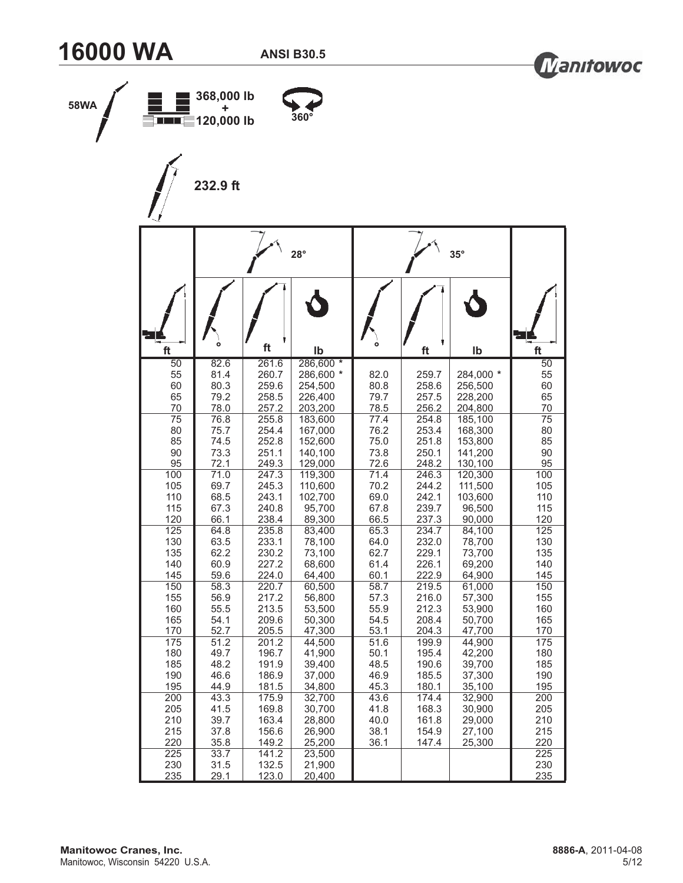



| 58WA | <b>EIIIIEE 120,000 lb</b> | 368,000 lb<br>٠ |                | $360^\circ$        |              |                |                    |                       |
|------|---------------------------|-----------------|----------------|--------------------|--------------|----------------|--------------------|-----------------------|
|      |                           | 232.9 ft        |                |                    |              |                |                    |                       |
|      |                           |                 |                | $28^\circ$         |              |                | $35^\circ$         |                       |
|      |                           | $\circ$         |                |                    |              |                |                    |                       |
|      | ft<br>$\overline{50}$     | 82.6            | ft<br>261.6    | lb<br>286,600 *    |              | ft             | Ib                 | ft<br>$\overline{50}$ |
|      | 55                        | 81.4            | 260.7          | 286,600 *          | 82.0         | 259.7          | 284,000 *          | 55                    |
|      | 60<br>65                  | 80.3<br>79.2    | 259.6<br>258.5 | 254,500<br>226,400 | 80.8<br>79.7 | 258.6<br>257.5 | 256,500<br>228,200 | 60<br>65              |
|      | 70                        | 78.0            | 257.2          | 203,200            | 78.5         | 256.2          | 204,800            | 70                    |
|      | $\overline{75}$<br>80     | 76.8<br>75.7    | 255.8<br>254.4 | 183,600<br>167,000 | 77.4<br>76.2 | 254.8<br>253.4 | 185,100<br>168,300 | $\overline{75}$<br>80 |
|      | 85                        | 74.5            | 252.8          | 152,600            | 75.0         | 251.8          | 153,800            | 85                    |
|      | 90<br>95                  | 73.3<br>72.1    | 251.1<br>249.3 | 140,100<br>129,000 | 73.8<br>72.6 | 250.1<br>248.2 | 141,200<br>130,100 | 90<br>95              |
|      | 100                       | 71.0            | 247.3          | 119,300            | 71.4         | 246.3          | 120,300            | 100                   |
|      | 105                       | 69.7            | 245.3          | 110,600            | 70.2         | 244.2          | 111,500            | 105                   |
|      | 110<br>115                | 68.5<br>67.3    | 243.1<br>240.8 | 102,700<br>95,700  | 69.0<br>67.8 | 242.1<br>239.7 | 103,600<br>96,500  | 110<br>115            |
|      | 120                       | 66.1            | 238.4          | 89,300             | 66.5         | 237.3          | 90,000             | 120                   |
|      | 125<br>130                | 64.8<br>63.5    | 235.8<br>233.1 | 83,400<br>78,100   | 65.3<br>64.0 | 234.7<br>232.0 | 84,100<br>78,700   | 125<br>130            |
|      | 135                       | 62.2            | 230.2          | 73,100             | 62.7         | 229.1          | 73,700             | 135                   |
|      | 140                       | 60.9<br>59.6    | 227.2          | 68,600             | 61.4         | 226.1          | 69,200             | 140                   |
|      | 145<br>150                | 58.3            | 224.0<br>220.7 | 64,400<br>60,500   | 60.1<br>58.7 | 222.9<br>219.5 | 64,900<br>61,000   | 145<br>150            |
|      | 155                       | 56.9            | 217.2          | 56,800             | 57.3         | 216.0          | 57,300             | 155                   |
|      | 160<br>165                | 55.5<br>54.1    | 213.5<br>209.6 | 53,500<br>50,300   | 55.9<br>54.5 | 212.3<br>208.4 | 53,900<br>50,700   | 160<br>165            |
|      | 170                       | 52.7            | 205.5          | 47,300             | 53.1         | 204.3          | 47,700             | 170                   |
|      | 175                       | 51.2            | 201.2          | 44,500             | 51.6         | 199.9          | 44,900             | 175                   |
|      | 180<br>185                | 49.7<br>48.2    | 196.7<br>191.9 | 41,900<br>39,400   | 50.1<br>48.5 | 195.4<br>190.6 | 42,200<br>39,700   | 180<br>185            |
|      | 190                       | 46.6            | 186.9          | 37,000             | 46.9         | 185.5          | 37,300             | 190                   |
|      | 195                       | 44.9            | 181.5          | 34,800             | 45.3         | 180.1          | 35,100             | 195                   |
|      | 200<br>205                | 43.3            | 175.9<br>169.8 | 32,700<br>30,700   | 43.6<br>41.8 | 174.4<br>168.3 | 32,900<br>30,900   | 200<br>205            |
|      | 210                       | 41.5<br>39.7    | 163.4          | 28,800             | 40.0         | 161.8          | 29,000             | 210                   |
|      | 215                       | 37.8            | 156.6          | 26,900             | 38.1         | 154.9          | 27,100             | 215                   |
|      | 220                       | 35.8            | 149.2          | 25,200             | 36.1         | 147.4          | 25,300             | 220                   |
|      | 225<br>230                | 33.7<br>31.5    | 141.2<br>132.5 | 23,500<br>21,900   |              |                |                    | 225<br>230            |
|      | 235                       | 29.1            | 123.0          | 20,400             |              |                |                    | 235                   |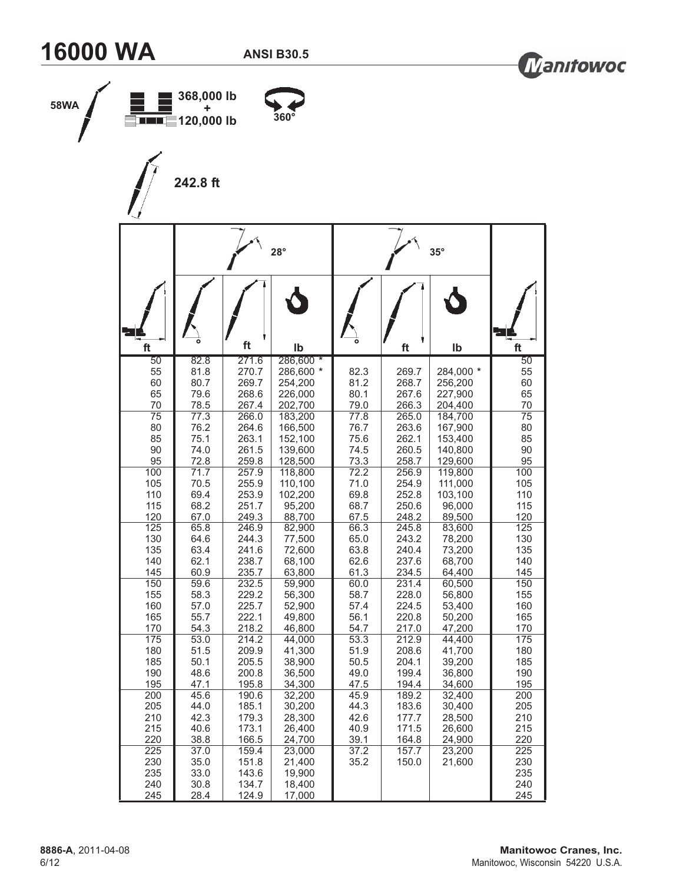



|                 |              |                | $28^\circ$         |              |                | $35^\circ$         |
|-----------------|--------------|----------------|--------------------|--------------|----------------|--------------------|
|                 |              |                |                    |              |                |                    |
| ft<br>50        | 82.8         | ft<br>271.6    | lb<br>286,600 *    |              | ft             | Ib                 |
| 55              | 81.8         | 270.7          | 286,600 *          | 82.3         | 269.7          | 284,000 *          |
| 60              | 80.7         | 269.7          | 254,200            | 81.2         | 268.7          | 256,200            |
| 65<br>70        | 79.6<br>78.5 | 268.6<br>267.4 | 226,000<br>202,700 | 80.1<br>79.0 | 267.6<br>266.3 | 227,900<br>204,400 |
| $\overline{75}$ | 77.3         | 266.0          | 183,200            | 77.8         | 265.0          | 184,700            |
| 80              | 76.2         | 264.6          | 166,500            | 76.7         | 263.6          | 167,900            |
| 85              | 75.1         | 263.1          | 152,100            | 75.6         | 262.1          | 153,400            |
| 90<br>95        | 74.0<br>72.8 | 261.5<br>259.8 | 139,600<br>128,500 | 74.5<br>73.3 | 260.5<br>258.7 | 140,800<br>129,600 |
| 100             | 71.7         | 257.9          | 118,800            | 72.2         | 256.9          | 119,800            |
| 105             | 70.5         | 255.9          | 110,100            | 71.0         | 254.9          | 111,000            |
| 110             | 69.4         | 253.9          | 102,200            | 69.8         | 252.8          | 103,100            |
| 115<br>120      | 68.2<br>67.0 | 251.7<br>249.3 | 95,200<br>88,700   | 68.7<br>67.5 | 250.6<br>248.2 | 96,000<br>89,500   |
| 125             | 65.8         | 246.9          | 82,900             | 66.3         | 245.8          | 83,600             |
| 130             | 64.6         | 244.3          | 77,500             | 65.0         | 243.2          | 78,200             |
| 135             | 63.4         | 241.6          | 72,600             | 63.8         | 240.4          | 73,200             |
| 140<br>145      | 62.1<br>60.9 | 238.7<br>235.7 | 68,100<br>63,800   | 62.6<br>61.3 | 237.6<br>234.5 | 68,700<br>64,400   |
| 150             | 59.6         | 232.5          | 59,900             | 60.0         | 231.4          | 60,500             |
| 155             | 58.3         | 229.2          | 56,300             | 58.7         | 228.0          | 56,800             |
| 160             | 57.0         | 225.7          | 52,900             | 57.4         | 224.5          | 53,400             |
| 165<br>170      | 55.7<br>54.3 | 222.1<br>218.2 | 49,800<br>46,800   | 56.1<br>54.7 | 220.8<br>217.0 | 50,200<br>47,200   |
| 175             | 53.0         | 214.2          | 44,000             | 53.3         | 212.9          | 44,400             |
| 180             | 51.5         | 209.9          | 41,300             | 51.9         | 208.6          | 41,700             |
| 185<br>190      | 50.1<br>48.6 | 205.5<br>200.8 | 38,900<br>36,500   | 50.5<br>49.0 | 204.1<br>199.4 | 39,200<br>36,800   |
| 195             | 47.1         | 195.8          | 34,300             | 47.5         | 194.4          | 34,600             |
| 200             | 45.6         | 190.6          | 32,200             | 45.9         | 189.2          | 32,400             |
| 205             | 44.0         | 185.1          | 30,200             | 44.3         | 183.6          | 30,400             |
| 210             | 42.3         | 179.3          | 28,300             | 42.6         | 177.7          | 28,500             |
| 215<br>220      | 40.6<br>38.8 | 173.1<br>166.5 | 26,400<br>24,700   | 40.9<br>39.1 | 171.5<br>164.8 | 26,600<br>24,900   |
| 225             | 37.0         | 159.4          | 23,000             | 37.2         | 157.7          | 23,200             |
| 230             | 35.0         | 151.8          | 21,400             | 35.2         | 150.0          | 21,600             |
| 235<br>240      | 33.0<br>30.8 | 143.6<br>134.7 | 19,900<br>18,400   |              |                |                    |
| 245             | 28.4         | 124.9          | 17,000             |              |                |                    |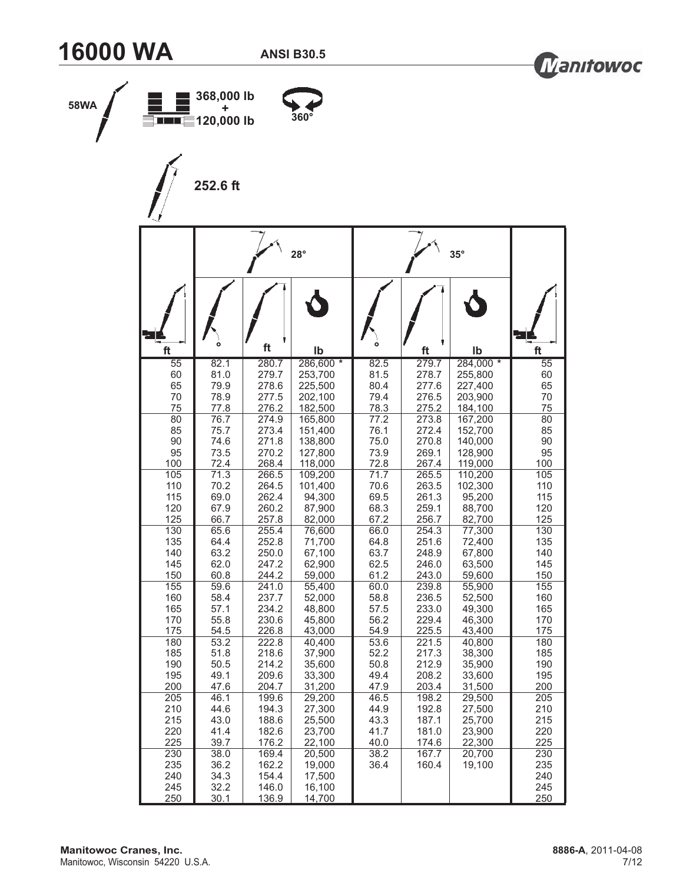



| 58WA | <b>ENGLES</b> 120,000 lb | 368,000 lb<br>٠ |                | $360^\circ$        |              |                |                    |                       |
|------|--------------------------|-----------------|----------------|--------------------|--------------|----------------|--------------------|-----------------------|
|      |                          | 252.6 ft        |                |                    |              |                |                    |                       |
|      |                          |                 |                | $28^\circ$         |              |                | $35^\circ$         |                       |
|      |                          | $\circ$         | ft             |                    |              |                |                    |                       |
|      | ft<br>$\overline{55}$    | 82.1            | 280.7          | Ib<br>286,600 *    | 82.5         | ft<br>279.7    | Ib<br>284,000 *    | ft<br>$\overline{55}$ |
|      | 60                       | 81.0            | 279.7          | 253,700            | 81.5         | 278.7          | 255,800            | 60                    |
|      | 65<br>70                 | 79.9<br>78.9    | 278.6<br>277.5 | 225,500<br>202,100 | 80.4<br>79.4 | 277.6<br>276.5 | 227,400<br>203,900 | 65<br>70              |
|      | 75                       | 77.8            | 276.2          | 182,500            | 78.3         | 275.2          | 184,100            | 75                    |
|      | 80<br>85                 | 76.7<br>75.7    | 274.9<br>273.4 | 165,800<br>151,400 | 77.2<br>76.1 | 273.8<br>272.4 | 167,200<br>152,700 | 80<br>85              |
|      | 90                       | 74.6            | 271.8          | 138,800            | 75.0         | 270.8          | 140,000            | 90                    |
|      | 95                       | 73.5            | 270.2          | 127,800            | 73.9         | 269.1          | 128,900            | 95                    |
|      | 100<br>105               | 72.4<br>71.3    | 268.4<br>266.5 | 118,000<br>109,200 | 72.8<br>71.7 | 267.4<br>265.5 | 119,000<br>110,200 | 100<br>105            |
|      | 110                      | 70.2            | 264.5          | 101,400            | 70.6         | 263.5          | 102,300            | 110                   |
|      | 115<br>120               | 69.0<br>67.9    | 262.4<br>260.2 | 94,300<br>87,900   | 69.5<br>68.3 | 261.3<br>259.1 | 95,200<br>88,700   | 115<br>120            |
|      | 125                      | 66.7            | 257.8          | 82,000             | 67.2         | 256.7          | 82,700             | 125                   |
|      | 130                      | 65.6            | 255.4          | 76,600             | 66.0         | 254.3          | 77,300             | 130                   |
|      | 135<br>140               | 64.4<br>63.2    | 252.8<br>250.0 | 71,700<br>67,100   | 64.8<br>63.7 | 251.6<br>248.9 | 72,400<br>67,800   | 135<br>140            |
|      | 145                      | 62.0            | 247.2          | 62,900             | 62.5         | 246.0          | 63,500             | 145                   |
|      | 150<br>155               | 60.8            | 244.2          | 59,000             | 61.2         | 243.0          | 59,600             | 150<br>155            |
|      | 160                      | 59.6<br>58.4    | 241.0<br>237.7 | 55,400<br>52,000   | 60.0<br>58.8 | 239.8<br>236.5 | 55,900<br>52,500   | 160                   |
|      | 165                      | 57.1            | 234.2          | 48,800             | 57.5         | 233.0          | 49,300             | 165                   |
|      | 170<br>175               | 55.8<br>54.5    | 230.6<br>226.8 | 45,800<br>43,000   | 56.2<br>54.9 | 229.4<br>225.5 | 46,300<br>43,400   | 170<br>175            |
|      | 180                      | 53.2            | 222.8          | 40,400             | 53.6         | 221.5          | 40,800             | 180                   |
|      | 185                      | 51.8            | 218.6          | 37,900             | 52.2         | 217.3          | 38,300             | 185                   |
|      | 190<br>195               | 50.5<br>49.1    | 214.2<br>209.6 | 35,600<br>33,300   | 50.8<br>49.4 | 212.9          | 35,900<br>33,600   | 190<br>195            |
|      | 200                      | 47.6            | 204.7          | 31,200             | 47.9         | 208.2<br>203.4 | 31,500             | 200                   |
|      | 205                      | 46.1            | 199.6          | 29,200             | 46.5         | 198.2          | 29,500             | 205                   |
|      | 210                      | 44.6            | 194.3          | 27,300             | 44.9         | 192.8          | 27,500             | 210                   |
|      | 215<br>220               | 43.0<br>41.4    | 188.6<br>182.6 | 25,500<br>23,700   | 43.3<br>41.7 | 187.1<br>181.0 | 25,700<br>23,900   | 215<br>220            |
|      | 225                      | 39.7            | 176.2          | 22,100             | 40.0         | 174.6          | 22,300             | 225                   |
|      | 230                      | 38.0            | 169.4          | 20,500             | 38.2         | 167.7          | 20,700             | 230                   |
|      | 235<br>240               | 36.2<br>34.3    | 162.2<br>154.4 | 19,000<br>17,500   | 36.4         | 160.4          | 19,100             | 235<br>240            |
|      | 245                      | 32.2            | 146.0          | 16,100             |              |                |                    | 245                   |
|      | 250                      | 30.1            | 136.9          | 14,700             |              |                |                    | 250                   |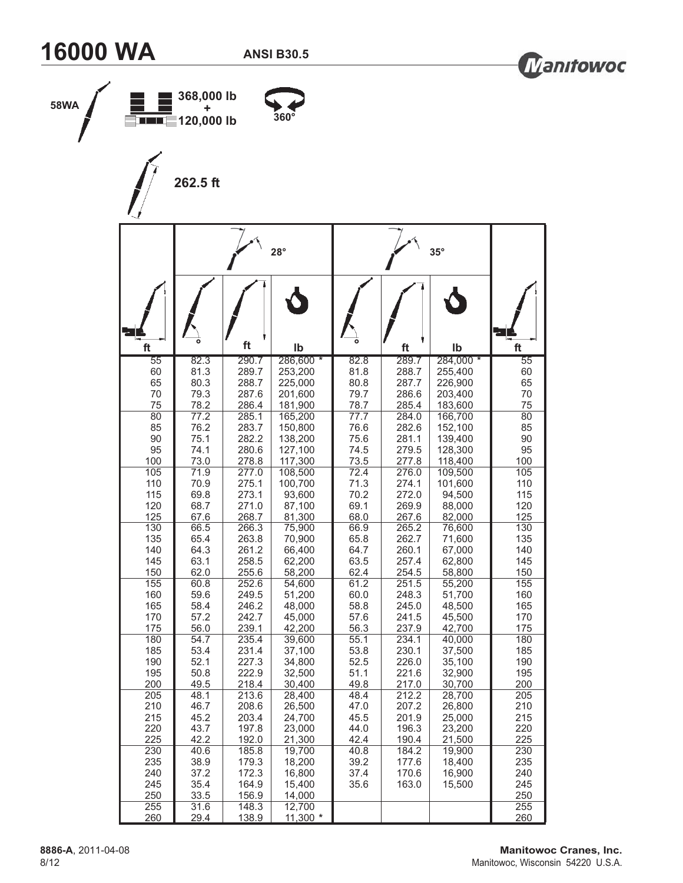



| 58WA |            | 368,000 lb<br>٠<br>$\sqrt{\frac{1}{1-\frac{1}{2}}+20,000}$ lb<br>262.5 ft |                | $360^\circ$        |              |                |                    |            |
|------|------------|---------------------------------------------------------------------------|----------------|--------------------|--------------|----------------|--------------------|------------|
|      |            |                                                                           |                | $28^\circ$         |              |                | $35^\circ$         |            |
|      | ft         | $\bullet$                                                                 | ft             | Ib                 |              | ft             | Ib                 | ft         |
|      | 55         | 82.3                                                                      | 290.7          | 286,600 *          | 82.8         | 289.7          | 284,000 *          | 55         |
|      | 60         | 81.3                                                                      | 289.7          | 253,200            | 81.8         | 288.7          | 255,400            | 60         |
|      | 65<br>70   | 80.3<br>79.3                                                              | 288.7<br>287.6 | 225,000<br>201,600 | 80.8<br>79.7 | 287.7<br>286.6 | 226,900<br>203,400 | 65<br>70   |
|      | 75         | 78.2                                                                      | 286.4          | 181,900            | 78.7         | 285.4          | 183,600            | 75         |
|      | 80<br>85   | 77.2<br>76.2                                                              | 285.1<br>283.7 | 165,200<br>150,800 | 77.7<br>76.6 | 284.0<br>282.6 | 166,700<br>152,100 | 80<br>85   |
|      | 90         | 75.1                                                                      | 282.2          | 138,200            | 75.6         | 281.1          | 139,400            | 90         |
|      | 95         | 74.1                                                                      | 280.6          | 127,100            | 74.5         | 279.5          | 128,300            | 95         |
|      | 100        | 73.0                                                                      | 278.8          | 117,300            | 73.5         | 277.8          | 118,400            | 100        |
|      | 105<br>110 | 71.9<br>70.9                                                              | 277.0<br>275.1 | 108,500<br>100,700 | 72.4<br>71.3 | 276.0<br>274.1 | 109,500<br>101,600 | 105<br>110 |
|      | 115        | 69.8                                                                      | 273.1          | 93,600             | 70.2         | 272.0          | 94,500             | 115        |
|      | 120        | 68.7                                                                      | 271.0          | 87,100             | 69.1         | 269.9          | 88,000             | 120        |
|      | 125<br>130 | 67.6<br>66.5                                                              | 268.7<br>266.3 | 81,300<br>75,900   | 68.0<br>66.9 | 267.6<br>265.2 | 82,000<br>76,600   | 125<br>130 |
|      | 135        | 65.4                                                                      | 263.8          | 70,900             | 65.8         | 262.7          | 71,600             | 135        |
|      | 140        | 64.3                                                                      | 261.2          | 66,400             | 64.7         | 260.1          | 67,000             | 140        |
|      | 145<br>150 | 63.1<br>62.0                                                              | 258.5<br>255.6 | 62,200<br>58,200   | 63.5<br>62.4 | 257.4<br>254.5 | 62,800<br>58,800   | 145<br>150 |
|      | 155        | 60.8                                                                      | 252.6          | 54,600             | 61.2         | 251.5          | 55,200             | 155        |
|      | 160        | 59.6                                                                      | 249.5          | 51,200             | 60.0         | 248.3          | 51,700             | 160        |
|      | 165<br>170 | 58.4<br>57.2                                                              | 246.2<br>242.7 | 48,000<br>45,000   | 58.8<br>57.6 | 245.0<br>241.5 | 48,500<br>45,500   | 165<br>170 |
|      | 175        | 56.0                                                                      | 239.1          | 42,200             | 56.3         | 237.9          | 42,700             | 175        |
|      | 180        | 54.7                                                                      | 235.4          | 39,600             | 55.1         | 234.1          | 40,000             | 180        |
|      | 185<br>190 | 53.4<br>52.1                                                              | 231.4<br>227.3 | 37,100<br>34,800   | 53.8<br>52.5 | 230.1<br>226.0 | 37,500<br>35,100   | 185<br>190 |
|      | 195        | 50.8                                                                      | 222.9          | 32,500             | 51.1         | 221.6          | 32,900             | 195        |
|      | 200        | 49.5                                                                      | 218.4          | 30,400             | 49.8         | 217.0          | 30,700             | 200        |
|      | 205<br>210 | 48.1<br>46.7                                                              | 213.6<br>208.6 | 28,400<br>26,500   | 48.4<br>47.0 | 212.2<br>207.2 | 28,700<br>26,800   | 205<br>210 |
|      | 215        | 45.2                                                                      | 203.4          | 24,700             | 45.5         | 201.9          | 25,000             | 215        |
|      | 220        | 43.7                                                                      | 197.8          | 23,000             | 44.0         | 196.3          | 23,200             | 220        |
|      | 225<br>230 | 42.2<br>40.6                                                              | 192.0<br>185.8 | 21,300<br>19,700   | 42.4<br>40.8 | 190.4<br>184.2 | 21,500<br>19,900   | 225<br>230 |
|      | 235        | 38.9                                                                      | 179.3          | 18,200             | 39.2         | 177.6          | 18,400             | 235        |
|      | 240        | 37.2                                                                      | 172.3          | 16,800             | 37.4         | 170.6          | 16,900             | 240        |
|      | 245<br>250 | 35.4<br>33.5                                                              | 164.9<br>156.9 | 15,400<br>14,000   | 35.6         | 163.0          | 15,500             | 245<br>250 |
|      | 255        | 31.6                                                                      | 148.3          | 12,700             |              |                |                    | 255        |
|      | 260        | 29.4                                                                      | 138.9          | $11,300$ *         |              |                |                    | 260        |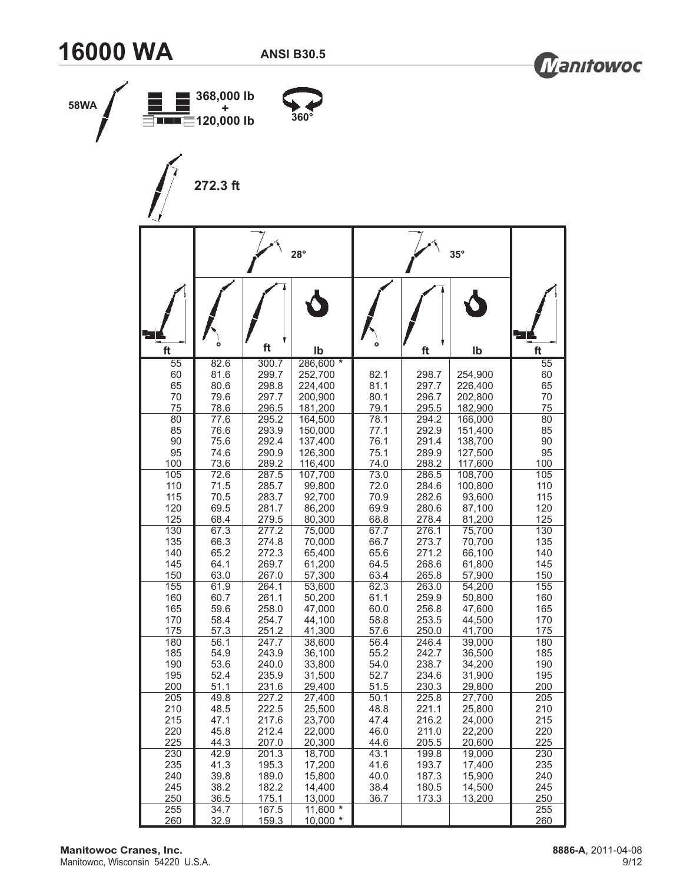



| 58WA | <b>EIIIIEE</b> 120,000 lb         | 368,000 lb<br>٠              |                                  | $360^\circ$                                |                      |                         |                               |                      |
|------|-----------------------------------|------------------------------|----------------------------------|--------------------------------------------|----------------------|-------------------------|-------------------------------|----------------------|
|      |                                   | 272.3 ft                     |                                  |                                            |                      |                         |                               |                      |
|      |                                   |                              |                                  | $28^\circ$                                 |                      |                         | $35^\circ$                    |                      |
|      |                                   | $\circ$                      |                                  |                                            |                      |                         |                               |                      |
|      | ft                                |                              | ft                               | lb                                         |                      | ft                      | lb                            | ft                   |
|      | $\overline{55}$<br>60<br>65<br>70 | 82.6<br>81.6<br>80.6<br>79.6 | 300.7<br>299.7<br>298.8<br>297.7 | 286,600 *<br>252,700<br>224,400<br>200,900 | 82.1<br>81.1<br>80.1 | 298.7<br>297.7<br>296.7 | 254,900<br>226,400<br>202,800 | 55<br>60<br>65<br>70 |
|      | 75                                | 78.6                         | 296.5                            | 181,200                                    | 79.1                 | 295.5                   | 182,900                       | 75                   |
|      | 80<br>85                          | 77.6<br>76.6                 | 295.2<br>293.9                   | 164,500<br>150,000                         | 78.1<br>77.1         | 294.2<br>292.9          | 166,000<br>151,400            | 80<br>85             |
|      | 90                                | 75.6                         | 292.4                            | 137,400                                    | 76.1                 | 291.4                   | 138,700                       | 90                   |
|      | 95                                | 74.6                         | 290.9                            | 126,300                                    | 75.1                 | 289.9                   | 127,500                       | 95                   |
|      | 100<br>105                        | 73.6<br>72.6                 | 289.2<br>287.5                   | 116,400<br>107,700                         | 74.0<br>73.0         | 288.2<br>286.5          | 117,600<br>108,700            | 100<br>105           |
|      | 110                               | 71.5                         | 285.7                            | 99,800                                     | 72.0                 | 284.6                   | 100,800                       | 110                  |
|      | 115<br>120                        | 70.5<br>69.5                 | 283.7<br>281.7                   | 92,700<br>86,200                           | 70.9<br>69.9         | 282.6<br>280.6          | 93,600                        | 115<br>120           |
|      | 125                               | 68.4                         | 279.5                            | 80,300                                     | 68.8                 | 278.4                   | 87,100<br>81,200              | 125                  |
|      | 130                               | 67.3                         | 277.2                            | 75,000                                     | 67.7                 | 276.1                   | 75,700                        | 130                  |
|      | 135<br>140                        | 66.3<br>65.2                 | 274.8<br>272.3                   | 70,000<br>65,400                           | 66.7<br>65.6         | 273.7<br>271.2          | 70,700<br>66,100              | 135<br>140           |
|      | 145                               | 64.1                         | 269.7                            | 61,200                                     | 64.5                 | 268.6                   | 61,800                        | 145                  |
|      | 150                               | 63.0                         | 267.0                            | 57,300                                     | 63.4                 | 265.8                   | 57,900                        | 150                  |
|      | 155<br>160                        | 61.9<br>60.7                 | 264.1<br>261.1                   | 53,600<br>50,200                           | 62.3<br>61.1         | 263.0<br>259.9          | 54,200<br>50,800              | 155<br>160           |
|      | 165                               | 59.6                         | 258.0                            | 47,000                                     | 60.0                 | 256.8                   | 47,600                        | 165                  |
|      | 170<br>175                        | 58.4<br>57.3                 | 254.7<br>251.2                   | 44,100<br>41,300                           | 58.8<br>57.6         | 253.5<br>250.0          | 44,500<br>41,700              | 170<br>175           |
|      | 180                               | 56.1                         | 247.7                            | 38,600                                     | 56.4                 | 246.4                   | 39,000                        | 180                  |
|      | 185                               | 54.9                         | 243.9                            | 36,100                                     | 55.2                 | 242.7                   | 36,500                        | 185                  |
|      | 190<br>195                        | 53.6<br>52.4                 | 240.0<br>235.9                   | 33,800<br>31,500                           | 54.0<br>52.7         | 238.7<br>234.6          | 34,200<br>31,900              | 190<br>195           |
|      | 200                               | 51.1                         | 231.6                            | 29,400                                     | 51.5                 | 230.3                   | 29,800                        | 200                  |
|      | 205<br>210                        | 49.8                         | 227.2<br>222.5                   | 27,400<br>25,500                           | 50.1<br>48.8         | 225.8<br>221.1          | 27,700<br>25,800              | 205<br>210           |
|      | 215                               | 48.5<br>47.1                 | 217.6                            | 23,700                                     | 47.4                 | 216.2                   | 24,000                        | 215                  |
|      | 220                               | 45.8                         | 212.4                            | 22,000                                     | 46.0                 | 211.0                   | 22,200                        | 220                  |
|      | 225<br>230                        | 44.3<br>42.9                 | 207.0<br>201.3                   | 20,300<br>18,700                           | 44.6<br>43.1         | 205.5<br>199.8          | 20,600<br>19,000              | 225<br>230           |
|      | 235                               | 41.3                         | 195.3                            | 17,200                                     | 41.6                 | 193.7                   | 17,400                        | 235                  |
|      | 240                               | 39.8                         | 189.0                            | 15,800                                     | 40.0                 | 187.3                   | 15,900                        | 240                  |
|      | 245<br>250                        | 38.2<br>36.5                 | 182.2<br>175.1                   | 14,400<br>13,000                           | 38.4<br>36.7         | 180.5<br>173.3          | 14,500<br>13,200              | 245<br>250           |
|      | 255                               | 34.7                         | 167.5                            | 11,600 $*$                                 |                      |                         |                               | 255                  |
|      | 260                               | 32.9                         | 159.3                            | $10,000$ *                                 |                      |                         |                               | 260                  |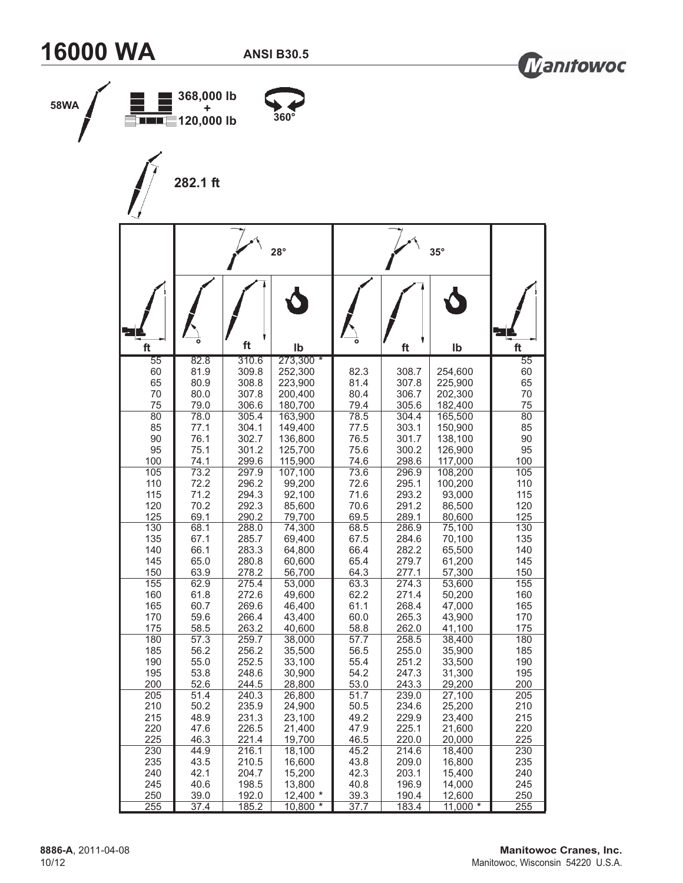



| 58WA |            | 368,000 lb<br>٠<br>$\blacksquare$ $\blacksquare$ 120,000 lb |                | 360°               |              |                |                    |            |
|------|------------|-------------------------------------------------------------|----------------|--------------------|--------------|----------------|--------------------|------------|
|      |            | 282.1 ft                                                    |                |                    |              |                |                    |            |
|      |            |                                                             |                | $28^\circ$         |              |                | $35^\circ$         |            |
|      | ft         |                                                             | ft             | lb                 |              | ft             | Ib                 | ft         |
|      | 55         | 82.8                                                        | 310.6          | 273,300 *          |              |                |                    | 55         |
|      | 60<br>65   | 81.9<br>80.9                                                | 309.8<br>308.8 | 252,300<br>223,900 | 82.3<br>81.4 | 308.7<br>307.8 | 254,600<br>225,900 | 60<br>65   |
|      | 70         | 80.0                                                        | 307.8          | 200,400            | 80.4         | 306.7          | 202,300            | 70         |
|      | 75<br>80   | 79.0<br>78.0                                                | 306.6<br>305.4 | 180,700<br>163,900 | 79.4<br>78.5 | 305.6<br>304.4 | 182,400<br>165,500 | 75<br>80   |
|      | 85         | 77.1                                                        | 304.1          | 149,400            | 77.5         | 303.1          | 150,900            | 85         |
|      | 90         | 76.1                                                        | 302.7          | 136,800            | 76.5         | 301.7          | 138,100            | 90         |
|      | 95<br>100  | 75.1<br>74.1                                                | 301.2<br>299.6 | 125,700<br>115,900 | 75.6<br>74.6 | 300.2<br>298.6 | 126,900<br>117,000 | 95<br>100  |
|      | 105        | 73.2                                                        | 297.9          | 107,100            | 73.6         | 296.9          | 108,200            | 105        |
|      | 110        | 72.2                                                        | 296.2          | 99,200             | 72.6         | 295.1          | 100,200            | 110        |
|      | 115<br>120 | 71.2<br>70.2                                                | 294.3<br>292.3 | 92,100<br>85,600   | 71.6<br>70.6 | 293.2<br>291.2 | 93,000<br>86,500   | 115<br>120 |
|      | 125        | 69.1                                                        | 290.2          | 79,700             | 69.5         | 289.1          | 80,600             | 125        |
|      | 130        | 68.1                                                        | 288.0          | 74,300             | 68.5         | 286.9          | 75,100             | 130        |
|      | 135<br>140 | 67.1<br>66.1                                                | 285.7<br>283.3 | 69,400<br>64,800   | 67.5<br>66.4 | 284.6<br>282.2 | 70,100<br>65,500   | 135<br>140 |
|      | 145        | 65.0                                                        | 280.8          | 60,600             | 65.4         | 279.7          | 61,200             | 145        |
|      | 150        | 63.9                                                        | 278.2          | 56,700             | 64.3         | 277.1          | 57,300             | 150        |
|      | 155<br>160 | 62.9<br>61.8                                                | 275.4<br>272.6 | 53,000<br>49,600   | 63.3<br>62.2 | 274.3<br>271.4 | 53,600<br>50,200   | 155<br>160 |
|      | 165        | 60.7                                                        | 269.6          | 46,400             | 61.1         | 268.4          | 47,000             | 165        |
|      | 170        | 59.6                                                        | 266.4          | 43,400             | 60.0         | 265.3          | 43,900             | 170        |
|      | 175        | 58.5                                                        | 263.2          | 40,600             | 58.8         | 262.0          | 41,100             | 175<br>180 |
|      | 180<br>185 | 57.3<br>56.2                                                | 259.7<br>256.2 | 38,000<br>35,500   | 57.7<br>56.5 | 258.5<br>255.0 | 38,400<br>35,900   | 185        |
|      | 190        | 55.0                                                        | 252.5          | 33,100             | 55.4         | 251.2          | 33,500             | 190        |
|      | 195        | 53.8                                                        | 248.6          | 30,900             | 54.2         | 247.3          | 31,300             | 195        |
|      | 200<br>205 | 52.6<br>51.4                                                | 244.5<br>240.3 | 28,800<br>26,800   | 53.0<br>51.7 | 243.3<br>239.0 | 29,200<br>27,100   | 200<br>205 |
|      | 210        | 50.2                                                        | 235.9          | 24,900             | 50.5         | 234.6          | 25,200             | 210        |
|      | 215        | 48.9                                                        | 231.3          | 23,100             | 49.2         | 229.9          | 23,400             | 215        |
|      | 220<br>225 | 47.6<br>46.3                                                | 226.5<br>221.4 | 21,400<br>19,700   | 47.9<br>46.5 | 225.1<br>220.0 | 21,600<br>20,000   | 220<br>225 |
|      | 230        | 44.9                                                        | 216.1          | 18,100             | 45.2         | 214.6          | 18,400             | 230        |
|      | 235        | 43.5                                                        | 210.5          | 16,600             | 43.8         | 209.0          | 16,800             | 235        |
|      | 240        | 42.1                                                        | 204.7          | 15,200             | 42.3         | 203.1          | 15,400             | 240        |
|      | 245<br>250 | 40.6<br>39.0                                                | 198.5<br>192.0 | 13,800<br>12,400 * | 40.8<br>39.3 | 196.9<br>190.4 | 14,000<br>12,600   | 245<br>250 |
|      | 255        | 37.4                                                        | 185.2          | 10,800 *           | 37.7         | 183.4          | $11,000*$          | 255        |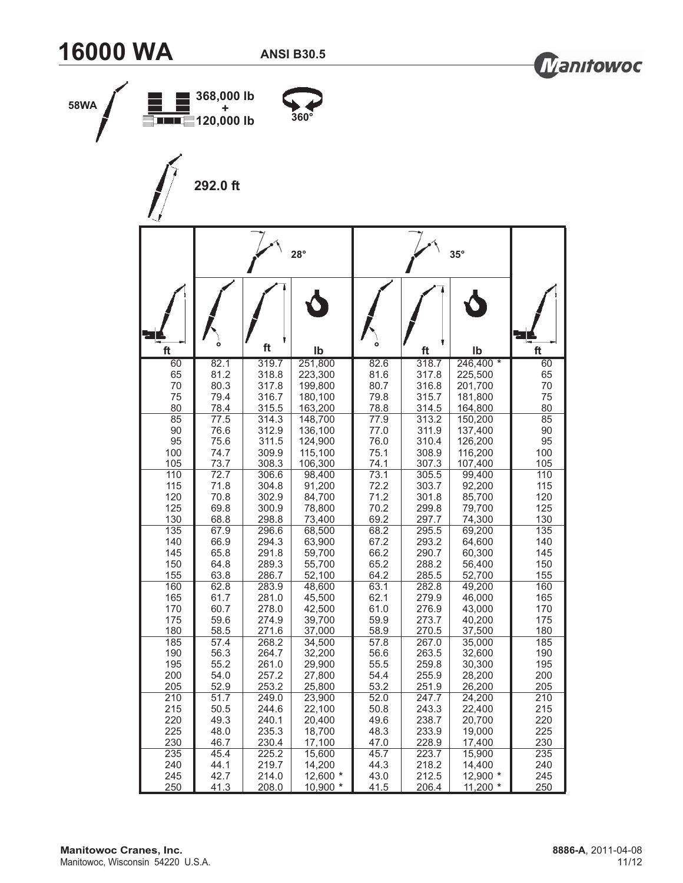



| 58WA | <b>EIIIIEE 120,000 lb</b>       | 368,000 lb<br>٠                      |                                           | $360^\circ$                                    |                                      |                                           |                                                |                                 |
|------|---------------------------------|--------------------------------------|-------------------------------------------|------------------------------------------------|--------------------------------------|-------------------------------------------|------------------------------------------------|---------------------------------|
|      |                                 | 292.0 ft                             |                                           |                                                |                                      |                                           |                                                |                                 |
|      |                                 |                                      |                                           | $28^\circ$                                     |                                      |                                           | $35^\circ$                                     |                                 |
|      | ft                              | $\circ$                              | ft                                        | Ib                                             |                                      | ft                                        | Ib                                             | ft                              |
|      | 60                              | 82.1                                 | 319.7                                     | 251,800                                        | 82.6                                 | 318.7                                     | $246,400*$                                     | 60                              |
|      | 65                              | 81.2                                 | 318.8                                     | 223,300                                        | 81.6                                 | 317.8                                     | 225,500                                        | 65                              |
|      | 70                              | 80.3                                 | 317.8                                     | 199,800                                        | 80.7                                 | 316.8                                     | 201,700                                        | 70                              |
|      | 75                              | 79.4                                 | 316.7                                     | 180,100                                        | 79.8                                 | 315.7                                     | 181,800                                        | 75                              |
|      | 80                              | 78.4                                 | 315.5                                     | 163,200                                        | 78.8                                 | 314.5                                     | 164,800                                        | 80                              |
|      | 85                              | 77.5                                 | 314.3                                     | 148,700                                        | 77.9                                 | 313.2                                     | 150,200                                        | 85                              |
|      | 90                              | 76.6                                 | 312.9                                     | 136,100                                        | 77.0                                 | 311.9                                     | 137,400                                        | 90                              |
|      | 95                              | 75.6                                 | 311.5                                     | 124,900                                        | 76.0                                 | 310.4                                     | 126,200                                        | 95                              |
|      | 100                             | 74.7                                 | 309.9                                     | 115,100                                        | 75.1                                 | 308.9                                     | 116,200                                        | 100                             |
|      | 105                             | 73.7                                 | 308.3                                     | 106,300                                        | 74.1                                 | 307.3                                     | 107,400                                        | 105                             |
|      | 110<br>115<br>120<br>125        | 72.7<br>71.8<br>70.8<br>69.8         | 306.6<br>304.8<br>302.9<br>300.9          | 98,400<br>91,200<br>84,700<br>78,800           | 73.1<br>72.2<br>71.2<br>70.2<br>69.2 | 305.5<br>303.7<br>301.8<br>299.8          | 99,400<br>92,200<br>85,700<br>79,700<br>74,300 | 110<br>115<br>120<br>125<br>130 |
|      | 130<br>135<br>140<br>145<br>150 | 68.8<br>67.9<br>66.9<br>65.8<br>64.8 | 298.8<br>296.6<br>294.3<br>291.8<br>289.3 | 73,400<br>68,500<br>63,900<br>59,700<br>55,700 | 68.2<br>67.2<br>66.2<br>65.2         | 297.7<br>295.5<br>293.2<br>290.7<br>288.2 | 69,200<br>64,600<br>60,300<br>56,400           | 135<br>140<br>145<br>150        |
|      | 155                             | 63.8                                 | 286.7                                     | 52,100                                         | 64.2                                 | 285.5                                     | 52,700                                         | 155                             |
|      | 160                             | 62.8                                 | 283.9                                     | 48,600                                         | 63.1                                 | 282.8                                     | 49,200                                         | 160                             |
|      | 165                             | 61.7                                 | 281.0                                     | 45,500                                         | 62.1                                 | 279.9                                     | 46,000                                         | 165                             |
|      | 170                             | 60.7                                 | 278.0                                     | 42,500                                         | 61.0                                 | 276.9                                     | 43,000                                         | 170                             |
|      | 175                             | 59.6                                 | 274.9                                     | 39,700                                         | 59.9                                 | 273.7                                     | 40,200                                         | 175                             |
|      | 180                             | 58.5                                 | 271.6                                     | 37,000                                         | 58.9                                 | 270.5                                     | 37,500                                         | 180                             |
|      | 185                             | 57.4                                 | 268.2                                     | 34,500                                         | 57.8                                 | 267.0                                     | 35,000                                         | 185                             |
|      | 190                             | 56.3                                 | 264.7                                     | 32,200                                         | 56.6                                 | 263.5                                     | 32,600                                         | 190                             |
|      | 195                             | 55.2                                 | 261.0                                     | 29,900                                         | 55.5                                 | 259.8                                     | 30,300                                         | 195                             |
|      | 200                             | 54.0                                 | 257.2                                     | 27,800                                         | 54.4                                 | 255.9                                     | 28,200                                         | 200                             |
|      | 205                             | 52.9                                 | 253.2                                     | 25,800                                         | 53.2                                 | 251.9                                     | 26,200                                         | 205                             |
|      | 210                             | 51.7                                 | 249.0                                     | 23,900                                         | 52.0                                 | 247.7                                     | 24,200                                         | 210                             |
|      | 215                             | 50.5                                 | 244.6                                     | 22,100                                         | 50.8                                 | 243.3                                     | 22,400                                         | 215                             |
|      | 220                             | 49.3                                 | 240.1                                     | 20,400                                         | 49.6                                 | 238.7                                     | 20,700                                         | 220                             |
|      | 225                             | 48.0                                 | 235.3                                     | 18,700                                         | 48.3                                 | 233.9                                     | 19,000                                         | 225                             |
|      | 230                             | 46.7                                 | 230.4                                     | 17,100                                         | 47.0                                 | 228.9                                     | 17,400                                         | 230                             |
|      | 235                             | 45.4                                 | 225.2                                     | 15,600                                         | 45.7                                 | 223.7                                     | 15,900                                         | 235                             |
|      | 240                             | 44.1                                 | 219.7                                     | 14,200                                         | 44.3                                 | 218.2                                     | 14,400                                         | 240                             |
|      | 245                             | 42.7                                 | 214.0                                     | 12,600 *                                       | 43.0                                 | 212.5                                     | 12,900 *                                       | 245                             |
|      | 250                             | 41.3                                 | 208.0                                     | 10,900 *                                       | 41.5                                 | 206.4                                     | $11,200$ *                                     | 250                             |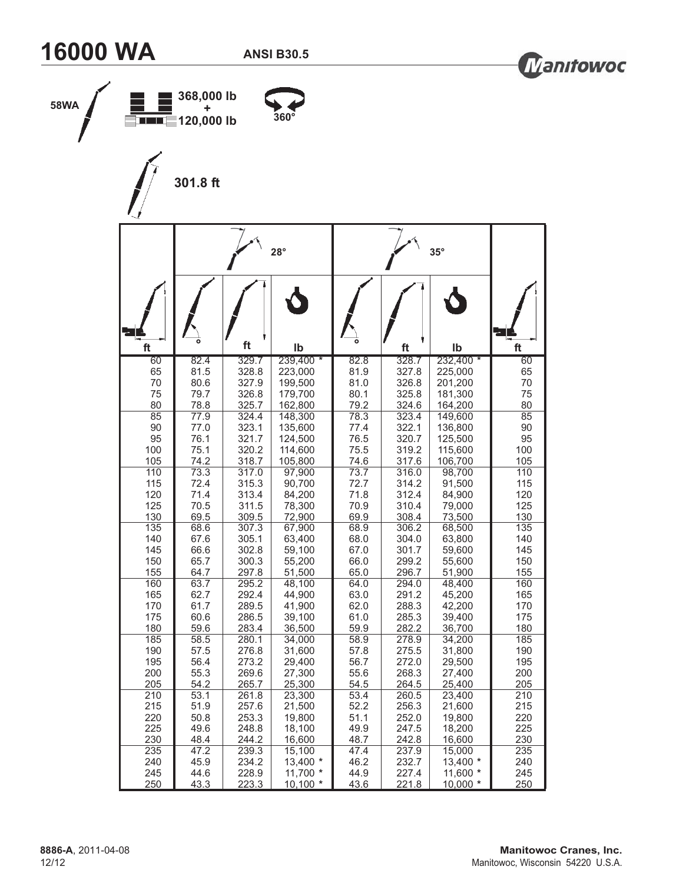



| 58WA | $\equiv$ THE $\equiv$ 120,000 lb | 368,000 lb<br>٠ |                | $360^\circ$        |              |                |                    |            |
|------|----------------------------------|-----------------|----------------|--------------------|--------------|----------------|--------------------|------------|
|      |                                  | 301.8 ft        |                |                    |              |                |                    |            |
|      |                                  |                 |                | $28^\circ$         |              |                | $35^\circ$         |            |
|      | ft                               |                 | ft             | Ib                 |              | ft             | Ib                 | ft         |
|      | 60                               | 82.4            | 329.7          | 239,400 *          | 82.8         | 328.7          | 232,400 *          | 60         |
|      | 65<br>70                         | 81.5<br>80.6    | 328.8<br>327.9 | 223,000<br>199,500 | 81.9<br>81.0 | 327.8<br>326.8 | 225,000<br>201,200 | 65<br>70   |
|      | 75                               | 79.7            | 326.8          | 179,700            | 80.1         | 325.8          | 181,300            | 75         |
|      | 80                               | 78.8            | 325.7          | 162,800            | 79.2         | 324.6          | 164,200            | 80         |
|      | 85<br>90                         | 77.9<br>77.0    | 324.4<br>323.1 | 148,300<br>135,600 | 78.3<br>77.4 | 323.4<br>322.1 | 149,600<br>136,800 | 85<br>90   |
|      | 95                               | 76.1            | 321.7          | 124,500            | 76.5         | 320.7          | 125,500            | 95         |
|      | 100                              | 75.1            | 320.2          | 114,600            | 75.5         | 319.2          | 115,600            | 100        |
|      | 105<br>110                       | 74.2<br>73.3    | 318.7<br>317.0 | 105,800<br>97,900  | 74.6<br>73.7 | 317.6<br>316.0 | 106,700<br>98,700  | 105<br>110 |
|      | 115                              | 72.4            | 315.3          | 90,700             | 72.7         | 314.2          | 91,500             | 115        |
|      | 120                              | 71.4            | 313.4          | 84,200             | 71.8         | 312.4          | 84,900             | 120        |
|      | 125                              | 70.5<br>69.5    | 311.5          | 78,300             | 70.9         | 310.4          | 79,000             | 125        |
|      | 130<br>135                       | 68.6            | 309.5<br>307.3 | 72,900<br>67,900   | 69.9<br>68.9 | 308.4<br>306.2 | 73,500<br>68,500   | 130<br>135 |
|      | 140                              | 67.6            | 305.1          | 63,400             | 68.0         | 304.0          | 63,800             | 140        |
|      | 145                              | 66.6            | 302.8          | 59,100             | 67.0         | 301.7          | 59,600             | 145        |
|      | 150<br>155                       | 65.7<br>64.7    | 300.3<br>297.8 | 55,200<br>51,500   | 66.0<br>65.0 | 299.2<br>296.7 | 55,600<br>51,900   | 150<br>155 |
|      | 160                              | 63.7            | 295.2          | 48,100             | 64.0         | 294.0          | 48,400             | 160        |
|      | 165                              | 62.7            | 292.4          | 44,900             | 63.0         | 291.2          | 45,200             | 165        |
|      | 170<br>175                       | 61.7<br>60.6    | 289.5<br>286.5 | 41,900<br>39,100   | 62.0<br>61.0 | 288.3<br>285.3 | 42,200<br>39,400   | 170<br>175 |
|      | 180                              | 59.6            | 283.4          | 36,500             | 59.9         | 282.2          | 36,700             | 180        |
|      | 185                              | 58.5            | 280.1          | 34,000             | 58.9         | 278.9          | 34,200             | 185        |
|      | 190<br>195                       | 57.5<br>56.4    | 276.8<br>273.2 | 31,600<br>29,400   | 57.8<br>56.7 | 275.5<br>272.0 | 31,800<br>29,500   | 190<br>195 |
|      | 200                              | 55.3            | 269.6          | 27,300             | 55.6         | 268.3          | 27,400             | 200        |
|      | 205                              | 54.2            | 265.7          | 25,300             | 54.5         | 264.5          | 25,400             | 205        |
|      | 210                              | 53.1            | 261.8          | 23,300             | 53.4         | 260.5          | 23,400             | 210<br>215 |
|      | 215<br>220                       | 51.9<br>50.8    | 257.6<br>253.3 | 21,500<br>19,800   | 52.2<br>51.1 | 256.3<br>252.0 | 21,600<br>19,800   | 220        |
|      | 225                              | 49.6            | 248.8          | 18,100             | 49.9         | 247.5          | 18,200             | 225        |
|      | 230                              | 48.4            | 244.2          | 16,600             | 48.7         | 242.8          | 16,600             | 230        |
|      | 235<br>240                       | 47.2<br>45.9    | 239.3<br>234.2 | 15,100<br>13,400 * | 47.4<br>46.2 | 237.9<br>232.7 | 15,000<br>13,400 * | 235<br>240 |
|      | 245                              | 44.6            | 228.9          | $11,700$ *         | 44.9         | 227.4          | 11,600 *           | 245        |
|      | 250                              | 43.3            | 223.3          | $10,100*$          | 43.6         | 221.8          | $10,000*$          | 250        |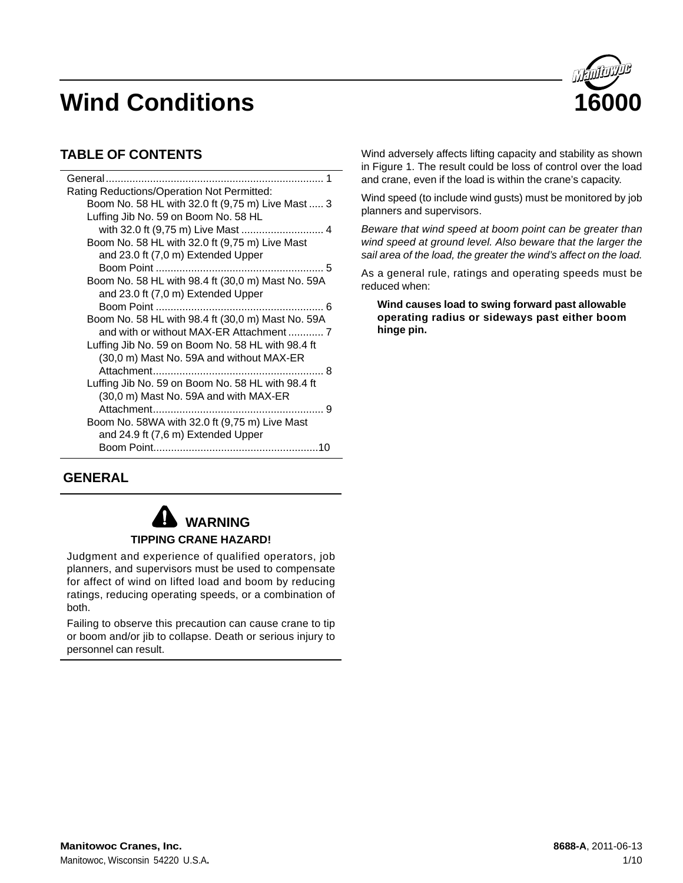

# **TABLE OF CONTENTS**

| General                                           |
|---------------------------------------------------|
| Rating Reductions/Operation Not Permitted:        |
| Boom No. 58 HL with 32.0 ft (9,75 m) Live Mast  3 |
| Luffing Jib No. 59 on Boom No. 58 HL              |
| with 32.0 ft (9,75 m) Live Mast  4                |
| Boom No. 58 HL with 32.0 ft (9,75 m) Live Mast    |
| and 23.0 ft (7,0 m) Extended Upper                |
|                                                   |
| Boom No. 58 HL with 98.4 ft (30,0 m) Mast No. 59A |
| and 23.0 ft (7,0 m) Extended Upper                |
|                                                   |
| Boom No. 58 HL with 98.4 ft (30,0 m) Mast No. 59A |
|                                                   |
| Luffing Jib No. 59 on Boom No. 58 HL with 98.4 ft |
| (30,0 m) Mast No. 59A and without MAX-ER          |
|                                                   |
| Luffing Jib No. 59 on Boom No. 58 HL with 98.4 ft |
| (30,0 m) Mast No. 59A and with MAX-ER             |
|                                                   |
| Boom No. 58WA with 32.0 ft (9,75 m) Live Mast     |
| and 24.9 ft (7,6 m) Extended Upper                |
|                                                   |

#### Wind adversely affects lifting capacity and stability as shown in Figure 1. The result could be loss of control over the load and crane, even if the load is within the crane's capacity.

Wind speed (to include wind gusts) must be monitored by job planners and supervisors.

*Beware that wind speed at boom point can be greater than wind speed at ground level. Also beware that the larger the sail area of the load, the greater the wind's affect on the load.*

As a general rule, ratings and operating speeds must be reduced when:

**Wind causes load to swing forward past allowable operating radius or sideways past either boom hinge pin.**

# **GENERAL**



Judgment and experience of qualified operators, job planners, and supervisors must be used to compensate for affect of wind on lifted load and boom by reducing ratings, reducing operating speeds, or a combination of both.

Failing to observe this precaution can cause crane to tip or boom and/or jib to collapse. Death or serious injury to personnel can result.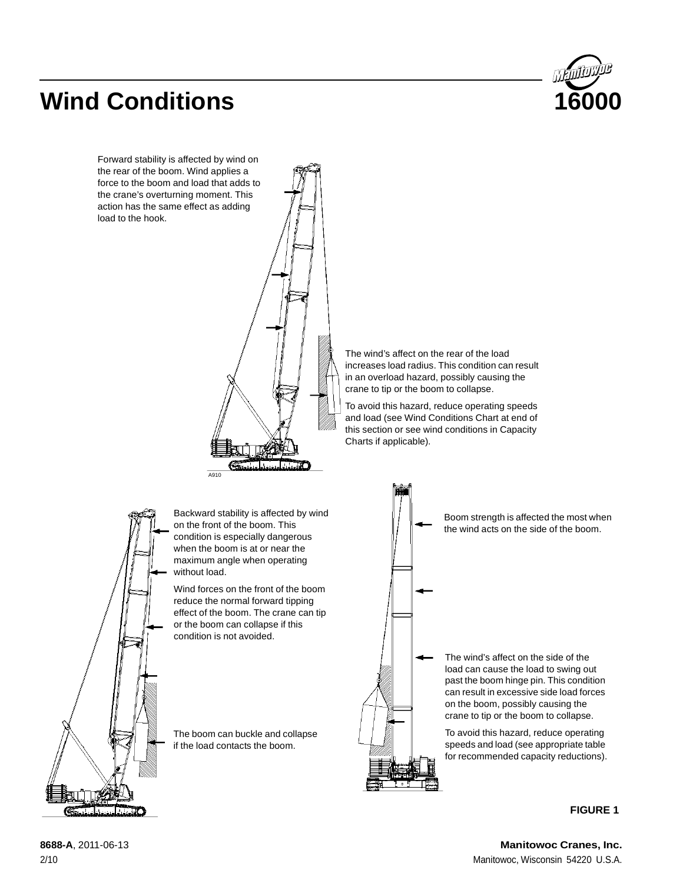

Forward stability is affected by wind on the rear of the boom. Wind applies a force to the boom and load that adds to the crane's overturning moment. This action has the same effect as adding load to the hook.



The wind's affect on the rear of the load increases load radius. This condition can result in an overload hazard, possibly causing the crane to tip or the boom to collapse.

To avoid this hazard, reduce operating speeds and load (see Wind Conditions Chart at end of this section or see wind conditions in Capacity Charts if applicable).



Backward stability is affected by wind on the front of the boom. This condition is especially dangerous when the boom is at or near the maximum angle when operating without load.

Wind forces on the front of the boom reduce the normal forward tipping effect of the boom. The crane can tip or the boom can collapse if this condition is not avoided.

The boom can buckle and collapse if the load contacts the boom.



Boom strength is affected the most when the wind acts on the side of the boom.

The wind's affect on the side of the load can cause the load to swing out past the boom hinge pin. This condition can result in excessive side load forces on the boom, possibly causing the crane to tip or the boom to collapse.

To avoid this hazard, reduce operating speeds and load (see appropriate table for recommended capacity reductions).

#### **FIGURE 1**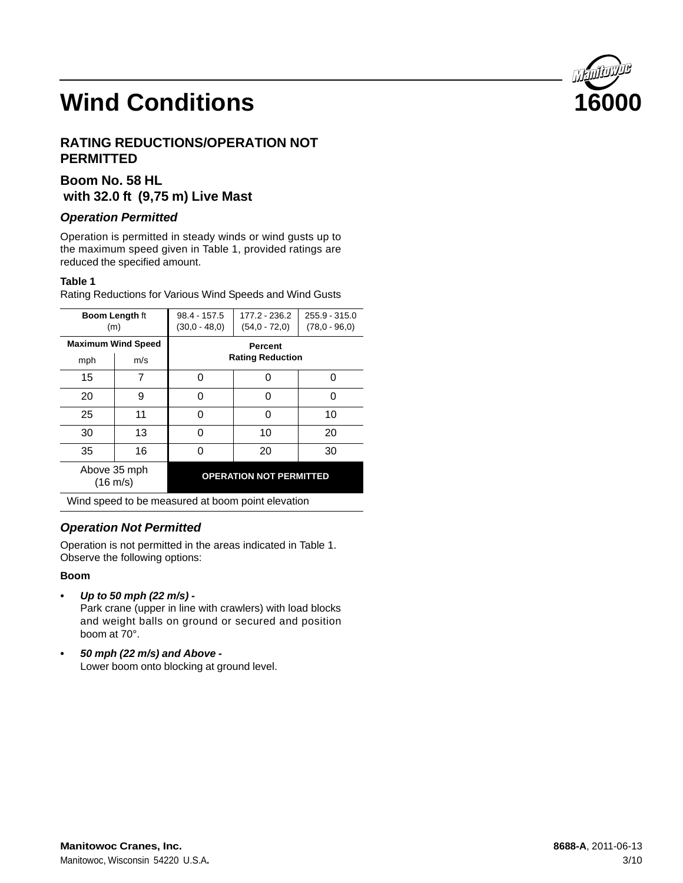# **RATING REDUCTIONS/OPERATION NOT PERMITTED**

# **Boom No. 58 HL with 32.0 ft (9,75 m) Live Mast**

### *Operation Permitted*

Operation is permitted in steady winds or wind gusts up to the maximum speed given in Table 1, provided ratings are reduced the specified amount.

### **Table 1**

Rating Reductions for Various Wind Speeds and Wind Gusts

| <b>Boom Length ft</b><br>(m)                      |                                  | $98.4 - 157.5$<br>$(30.0 - 48.0)$ | 177.2 - 236.2<br>$(54.0 - 72.0)$   | 255.9 - 315.0<br>$(78.0 - 96.0)$ |
|---------------------------------------------------|----------------------------------|-----------------------------------|------------------------------------|----------------------------------|
| mph                                               | <b>Maximum Wind Speed</b><br>m/s |                                   | Percent<br><b>Rating Reduction</b> |                                  |
| 15                                                | 7                                | ი                                 | Ω                                  | ი                                |
| 20                                                | 9                                | O                                 | ი                                  | ი                                |
| 25                                                | 11                               | 0<br>Ω                            |                                    | 10                               |
| 30                                                | 13                               | 10<br>20<br>O                     |                                    |                                  |
| 35                                                | 16                               | U                                 | 20                                 | 30                               |
| Above 35 mph<br>$(16 \text{ m/s})$                |                                  |                                   | <b>OPERATION NOT PERMITTED</b>     |                                  |
| Wind speed to be measured at boom point elevation |                                  |                                   |                                    |                                  |

# *Operation Not Permitted*

Operation is not permitted in the areas indicated in Table 1. Observe the following options:

### **Boom**

*• Up to 50 mph (22 m/s) -* Park crane (upper in line with crawlers) with load blocks

and weight balls on ground or secured and position boom at 70°.

*• 50 mph (22 m/s) and Above -* Lower boom onto blocking at ground level.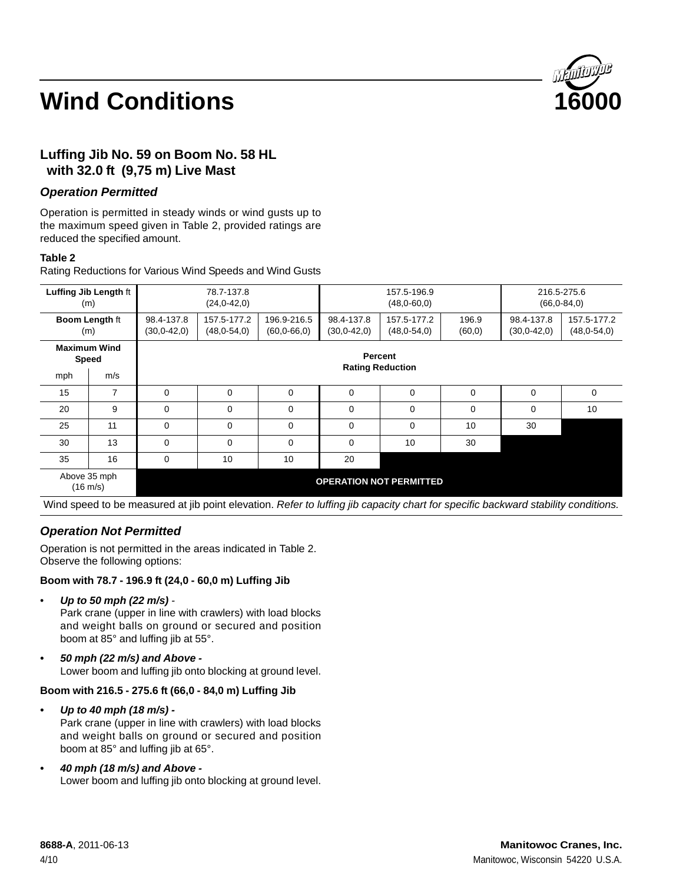

# **Luffing Jib No. 59 on Boom No. 58 HL with 32.0 ft (9,75 m) Live Mast**

### *Operation Permitted*

Operation is permitted in steady winds or wind gusts up to the maximum speed given in Table 2, provided ratings are reduced the specified amount.

#### **Table 2**

Rating Reductions for Various Wind Speeds and Wind Gusts

|                              | Luffing Jib Length ft<br>(m)       | 78.7-137.8<br>157.5-196.9<br>$(24.0 - 42.0)$<br>$(48,0-60,0)$                                                                                                                      |             |    |          |                               |                              | 216.5-275.6<br>$(66.0 - 84.0)$ |             |
|------------------------------|------------------------------------|------------------------------------------------------------------------------------------------------------------------------------------------------------------------------------|-------------|----|----------|-------------------------------|------------------------------|--------------------------------|-------------|
|                              | <b>Boom Length ft</b><br>(m)       | 157.5-177.2<br>98.4-137.8<br>196.9-216.5<br>98.4-137.8<br>157.5-177.2<br>196.9<br>(48, 0.54, 0)<br>(48, 0.54, 0)<br>(60, 0)<br>$(30, 0-42, 0)$<br>(60, 0.66, 0)<br>$(30, 0-42, 0)$ |             |    |          | 98.4-137.8<br>$(30, 0-42, 0)$ | 157.5-177.2<br>(48, 0.54, 0) |                                |             |
| <b>Maximum Wind</b><br>Speed |                                    | Percent<br><b>Rating Reduction</b>                                                                                                                                                 |             |    |          |                               |                              |                                |             |
| mph                          | m/s                                |                                                                                                                                                                                    |             |    |          |                               |                              |                                |             |
| 15                           | 7                                  | 0                                                                                                                                                                                  | $\mathbf 0$ | 0  | 0        | $\mathbf 0$                   | $\mathbf 0$                  | 0                              | $\mathbf 0$ |
| 20                           | 9                                  | 0                                                                                                                                                                                  | 0           | 0  | 0        | $\mathbf 0$                   | $\mathbf 0$                  | 0                              | 10          |
| 25                           | 11                                 | 0                                                                                                                                                                                  | 0           | 0  | 0        | $\mathbf 0$                   | 10                           | 30                             |             |
| 30                           | 13                                 | $\mathbf 0$                                                                                                                                                                        | $\mathbf 0$ | 0  | $\Omega$ | 10                            | 30                           |                                |             |
| 35                           | 16                                 | 0                                                                                                                                                                                  | 10          | 10 | 20       |                               |                              |                                |             |
|                              | Above 35 mph<br>$(16 \text{ m/s})$ | <b>OPERATION NOT PERMITTED</b>                                                                                                                                                     |             |    |          |                               |                              |                                |             |

Wind speed to be measured at jib point elevation. *Refer to luffing jib capacity chart for specific backward stability conditions.*

# *Operation Not Permitted*

Operation is not permitted in the areas indicated in Table 2. Observe the following options:

### **Boom with 78.7 - 196.9 ft (24,0 - 60,0 m) Luffing Jib**

• *Up to 50 mph (22 m/s) -*

Park crane (upper in line with crawlers) with load blocks and weight balls on ground or secured and position boom at 85° and luffing jib at 55°.

*• 50 mph (22 m/s) and Above -* Lower boom and luffing jib onto blocking at ground level.

### **Boom with 216.5 - 275.6 ft (66,0 - 84,0 m) Luffing Jib**

- *Up to 40 mph (18 m/s) -* Park crane (upper in line with crawlers) with load blocks and weight balls on ground or secured and position boom at 85° and luffing jib at 65°.
- *40 mph (18 m/s) and Above -* Lower boom and luffing jib onto blocking at ground level.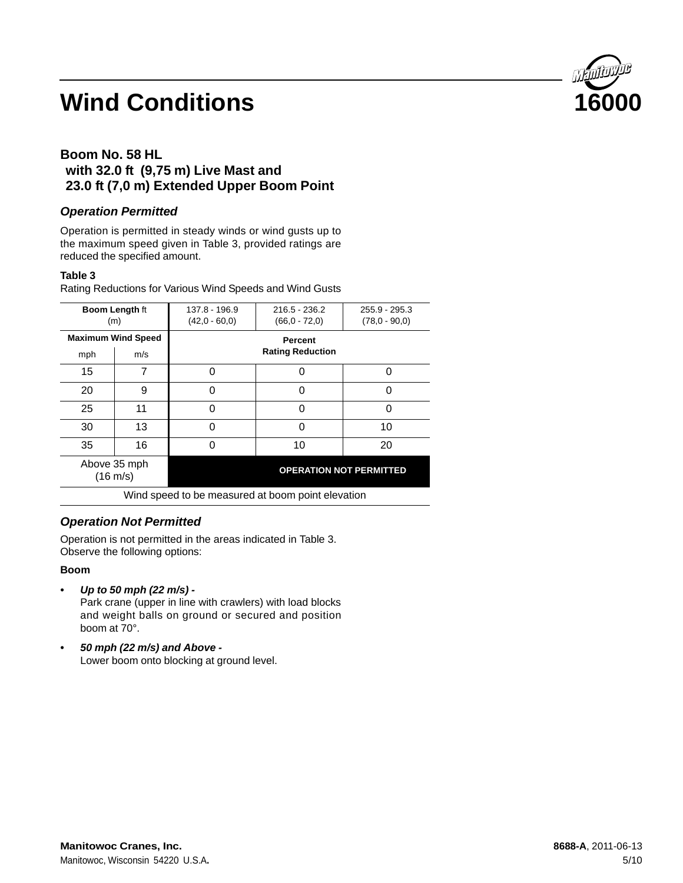

# **Boom No. 58 HL with 32.0 ft (9,75 m) Live Mast and 23.0 ft (7,0 m) Extended Upper Boom Point**

### *Operation Permitted*

Operation is permitted in steady winds or wind gusts up to the maximum speed given in Table 3, provided ratings are reduced the specified amount.

#### **Table 3**

Rating Reductions for Various Wind Speeds and Wind Gusts

| <b>Boom Length ft</b><br>(m)                      |                           | 137.8 - 196.9<br>$(42,0 - 60,0)$          | $216.5 - 236.2$<br>$(66.0 - 72.0)$ | 255.9 - 295.3<br>$(78.0 - 90.0)$ |
|---------------------------------------------------|---------------------------|-------------------------------------------|------------------------------------|----------------------------------|
|                                                   | <b>Maximum Wind Speed</b> | <b>Percent</b><br><b>Rating Reduction</b> |                                    |                                  |
| mph                                               | m/s                       |                                           |                                    |                                  |
| 15                                                |                           | U                                         | 0                                  | 0                                |
| 20                                                | 9                         | ∩                                         | 0                                  | 0                                |
| 25                                                | 11                        | ⋂                                         | ∩                                  | ი                                |
| 30                                                | 13                        | ŋ                                         | 0                                  | 10                               |
| 35                                                | 16                        | ∩                                         | 10                                 | 20                               |
| Above 35 mph<br>$(16 \text{ m/s})$                |                           |                                           | <b>OPERATION NOT PERMITTED</b>     |                                  |
| Wind speed to be measured at boom point elevation |                           |                                           |                                    |                                  |

### *Operation Not Permitted*

Operation is not permitted in the areas indicated in Table 3. Observe the following options:

#### **Boom**

*• Up to 50 mph (22 m/s) -*

Park crane (upper in line with crawlers) with load blocks and weight balls on ground or secured and position boom at 70°.

*• 50 mph (22 m/s) and Above -* Lower boom onto blocking at ground level.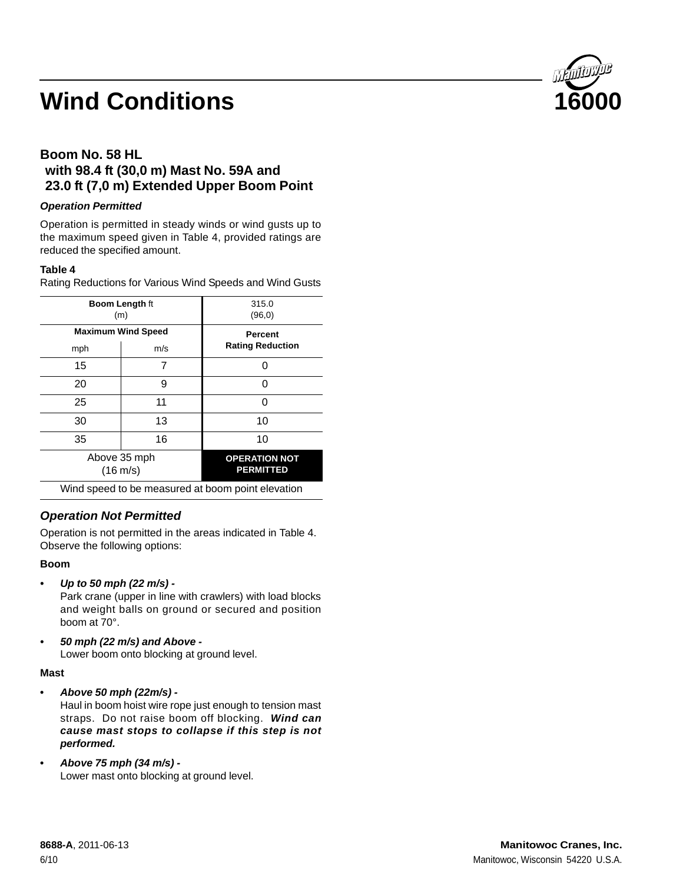

# **Boom No. 58 HL with 98.4 ft (30,0 m) Mast No. 59A and 23.0 ft (7,0 m) Extended Upper Boom Point**

### *Operation Permitted*

Operation is permitted in steady winds or wind gusts up to the maximum speed given in Table 4, provided ratings are reduced the specified amount.

### **Table 4**

Rating Reductions for Various Wind Speeds and Wind Gusts

|     | <b>Boom Length ft</b><br>(m)       | 315.0<br>(96, 0)                                  |
|-----|------------------------------------|---------------------------------------------------|
| mph | <b>Maximum Wind Speed</b><br>m/s   | <b>Percent</b><br><b>Rating Reduction</b>         |
| 15  | 7                                  |                                                   |
| 20  | 9                                  |                                                   |
| 25  | 11                                 |                                                   |
| 30  | 13                                 | 10                                                |
| 35  | 16                                 | 10                                                |
|     | Above 35 mph<br>$(16 \text{ m/s})$ | <b>OPERATION NOT</b><br><b>PERMITTED</b>          |
|     |                                    | Wind speed to be measured at boom point elevation |

# *Operation Not Permitted*

Operation is not permitted in the areas indicated in Table 4. Observe the following options:

### **Boom**

*• Up to 50 mph (22 m/s) -*

Park crane (upper in line with crawlers) with load blocks and weight balls on ground or secured and position boom at 70°.

*• 50 mph (22 m/s) and Above -* Lower boom onto blocking at ground level.

### **Mast**

**•** *Above 50 mph (22m/s) -*

Haul in boom hoist wire rope just enough to tension mast straps. Do not raise boom off blocking. *Wind can cause mast stops to collapse if this step is not performed.*

**•** *Above 75 mph (34 m/s) -* Lower mast onto blocking at ground level.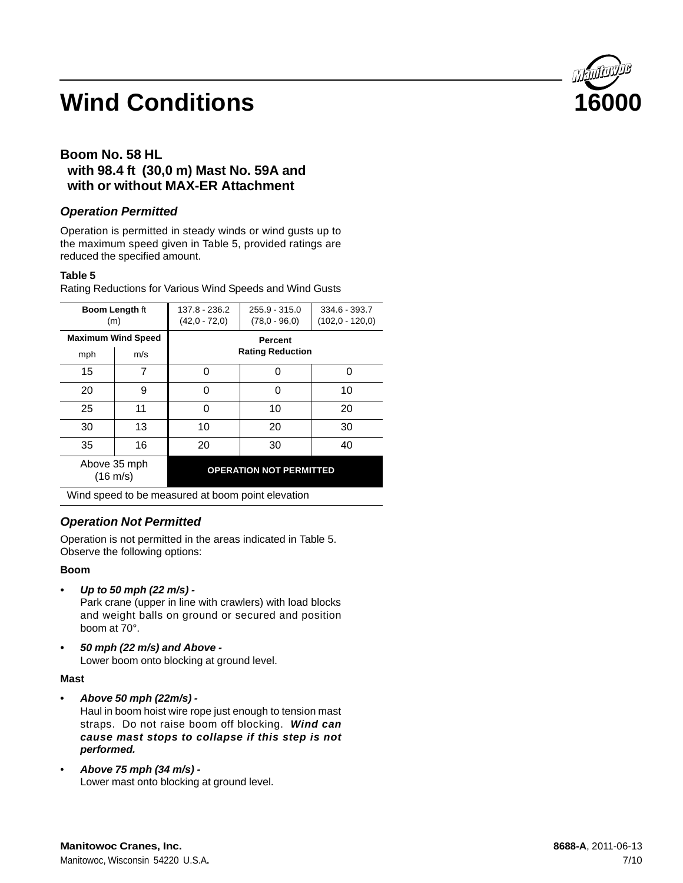

# **Boom No. 58 HL with 98.4 ft (30,0 m) Mast No. 59A and with or without MAX-ER Attachment**

### *Operation Permitted*

Operation is permitted in steady winds or wind gusts up to the maximum speed given in Table 5, provided ratings are reduced the specified amount.

### **Table 5**

Rating Reductions for Various Wind Speeds and Wind Gusts

| <b>Boom Length ft</b><br>(m)                      |    | 137.8 - 236.2<br>$(42,0 - 72,0)$          | $255.9 - 315.0$<br>$(78.0 - 96.0)$ | 334.6 - 393.7<br>$(102.0 - 120.0)$ |
|---------------------------------------------------|----|-------------------------------------------|------------------------------------|------------------------------------|
| <b>Maximum Wind Speed</b><br>m/s<br>mph           |    | <b>Percent</b><br><b>Rating Reduction</b> |                                    |                                    |
| 15                                                | 7  | 0                                         | O                                  | n                                  |
| 20                                                | 9  | 0                                         | ი                                  | 10                                 |
| 25                                                | 11 | 0                                         | 10                                 | 20                                 |
| 30                                                | 13 | 10                                        | 20                                 | 30                                 |
| 35                                                | 16 | 20                                        | 30                                 | 40                                 |
| Above 35 mph<br>$(16 \text{ m/s})$                |    |                                           | <b>OPERATION NOT PERMITTED</b>     |                                    |
| Wind cread to be measured at beam point elevation |    |                                           |                                    |                                    |

Wind speed to be measured at boom point elevation

# *Operation Not Permitted*

Operation is not permitted in the areas indicated in Table 5. Observe the following options:

### **Boom**

*• Up to 50 mph (22 m/s) -*

Park crane (upper in line with crawlers) with load blocks and weight balls on ground or secured and position boom at 70°.

*• 50 mph (22 m/s) and Above -* Lower boom onto blocking at ground level.

### **Mast**

- **•** *Above 50 mph (22m/s) -* Haul in boom hoist wire rope just enough to tension mast straps. Do not raise boom off blocking. *Wind can cause mast stops to collapse if this step is not performed.*
- *Above 75 mph (34 m/s) -* Lower mast onto blocking at ground level.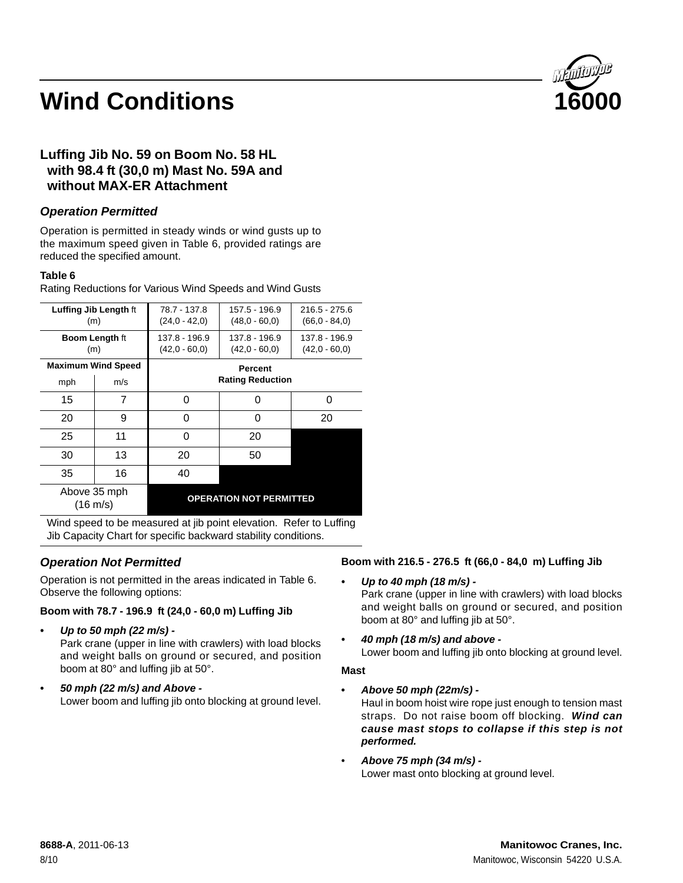

# **Luffing Jib No. 59 on Boom No. 58 HL with 98.4 ft (30,0 m) Mast No. 59A and without MAX-ER Attachment**

### *Operation Permitted*

Operation is permitted in steady winds or wind gusts up to the maximum speed given in Table 6, provided ratings are reduced the specified amount.

#### **Table 6**

| Luffing Jib Length ft<br>(m)       |                           | 78.7 - 137.8<br>$(24.0 - 42.0)$ | 157.5 - 196.9<br>$(48.0 - 60.0)$ | $216.5 - 275.6$<br>$(66.0 - 84.0)$ |  |  |
|------------------------------------|---------------------------|---------------------------------|----------------------------------|------------------------------------|--|--|
|                                    |                           |                                 |                                  |                                    |  |  |
|                                    | <b>Boom Length ft</b>     | 137.8 - 196.9                   | 137.8 - 196.9                    | 137.8 - 196.9                      |  |  |
|                                    | (m)                       | $(42.0 - 60.0)$                 | $(42,0 - 60,0)$                  | $(42.0 - 60.0)$                    |  |  |
|                                    | <b>Maximum Wind Speed</b> |                                 | <b>Percent</b>                   |                                    |  |  |
| mph                                | m/s                       | <b>Rating Reduction</b>         |                                  |                                    |  |  |
| 15                                 | 7                         | O                               | O                                | ∩                                  |  |  |
| 20                                 | 9                         | O                               | ი                                | 20                                 |  |  |
| 25                                 | 11                        | U                               | 20                               |                                    |  |  |
| 30                                 | 13                        | 20                              | 50                               |                                    |  |  |
| 35                                 | 16                        | 40                              |                                  |                                    |  |  |
| Above 35 mph<br>$(16 \text{ m/s})$ |                           |                                 | <b>OPERATION NOT PERMITTED</b>   |                                    |  |  |

Rating Reductions for Various Wind Speeds and Wind Gusts

#### Wind speed to be measured at jib point elevation. Refer to Luffing Jib Capacity Chart for specific backward stability conditions.

# *Operation Not Permitted*

Operation is not permitted in the areas indicated in Table 6. Observe the following options:

### **Boom with 78.7 - 196.9 ft (24,0 - 60,0 m) Luffing Jib**

*• Up to 50 mph (22 m/s) -*

Park crane (upper in line with crawlers) with load blocks and weight balls on ground or secured, and position boom at 80° and luffing jib at 50°.

*• 50 mph (22 m/s) and Above -* Lower boom and luffing jib onto blocking at ground level.

### **Boom with 216.5 - 276.5 ft (66,0 - 84,0 m) Luffing Jib**

*• Up to 40 mph (18 m/s) -*

Park crane (upper in line with crawlers) with load blocks and weight balls on ground or secured, and position boom at 80° and luffing jib at 50°.

*• 40 mph (18 m/s) and above -*  Lower boom and luffing jib onto blocking at ground level.

#### **Mast**

- **•** *Above 50 mph (22m/s) -* Haul in boom hoist wire rope just enough to tension mast straps. Do not raise boom off blocking. *Wind can cause mast stops to collapse if this step is not performed.*
- *Above 75 mph (34 m/s) -* Lower mast onto blocking at ground level.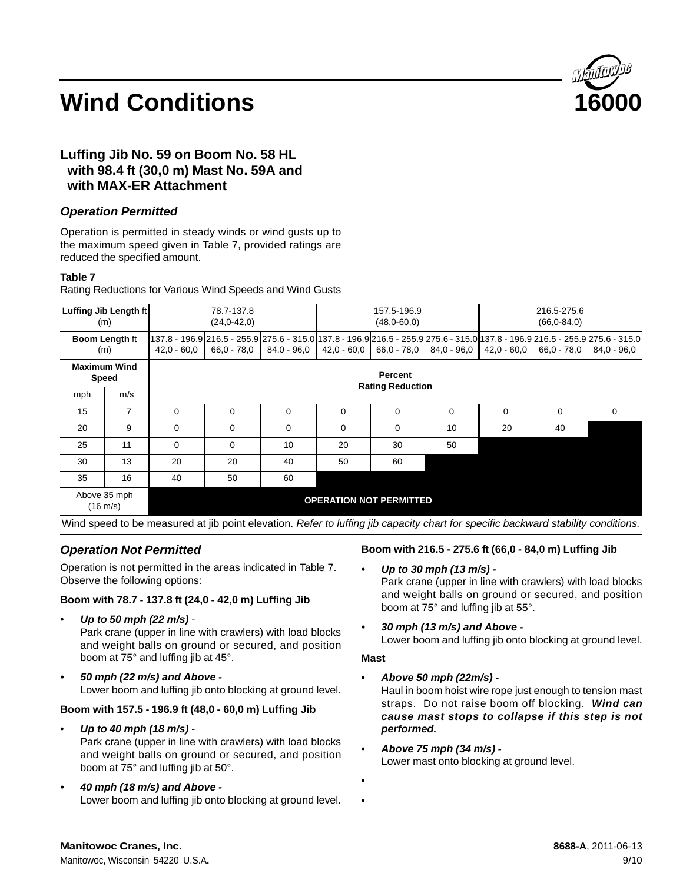

# **Luffing Jib No. 59 on Boom No. 58 HL with 98.4 ft (30,0 m) Mast No. 59A and with MAX-ER Attachment**

### *Operation Permitted*

Operation is permitted in steady winds or wind gusts up to the maximum speed given in Table 7, provided ratings are reduced the specified amount.

#### **Table 7**

Rating Reductions for Various Wind Speeds and Wind Gusts

| Luffing Jib Length ft<br>(m)       |     | 78.7-137.8<br>157.5-196.9<br>$(24,0-42,0)$<br>$(48,0-60,0)$                                                                                                                                                    |          |             |             |          |               |               | 216.5-275.6<br>$(66, 0 - 84, 0)$ |               |
|------------------------------------|-----|----------------------------------------------------------------------------------------------------------------------------------------------------------------------------------------------------------------|----------|-------------|-------------|----------|---------------|---------------|----------------------------------|---------------|
| <b>Boom Length ft</b><br>(m)       |     | 137.8 - 196.9 216.5 - 255.9 275.6 - 315.0 137.8 - 196.9 216.5 - 255.9 275.6 - 315.0 137.8 - 196.9 216.5 - 255.9 275.6 - 315.0<br>$66.0 - 78.0$<br>$84.0 - 96.0$<br>42.0 - 60.0<br>66.0 - 78.0<br>$42.0 - 60.0$ |          |             |             |          | $84.0 - 96.0$ | $42.0 - 60.0$ | $66.0 - 78.0$                    | $84.0 - 96.0$ |
| <b>Maximum Wind</b><br>Speed       |     | Percent<br><b>Rating Reduction</b>                                                                                                                                                                             |          |             |             |          |               |               |                                  |               |
| mph                                | m/s |                                                                                                                                                                                                                |          |             |             |          |               |               |                                  |               |
| 15                                 | 7   | $\Omega$                                                                                                                                                                                                       | $\Omega$ | $\mathbf 0$ | $\mathbf 0$ | $\Omega$ | $\mathbf 0$   | 0             | 0                                | $\Omega$      |
| 20                                 | 9   | $\Omega$                                                                                                                                                                                                       | $\Omega$ | $\Omega$    | $\mathbf 0$ | $\Omega$ | 10            | 20            | 40                               |               |
| 25                                 | 11  | $\Omega$                                                                                                                                                                                                       | $\Omega$ | 10          | 20          | 30       | 50            |               |                                  |               |
| 30                                 | 13  | 20                                                                                                                                                                                                             | 20       | 40          | 50          | 60       |               |               |                                  |               |
| 35                                 | 16  | 40                                                                                                                                                                                                             | 50       | 60          |             |          |               |               |                                  |               |
| Above 35 mph<br>$(16 \text{ m/s})$ |     | <b>OPERATION NOT PERMITTED</b>                                                                                                                                                                                 |          |             |             |          |               |               |                                  |               |

Wind speed to be measured at jib point elevation. *Refer to luffing jib capacity chart for specific backward stability conditions.*

### *Operation Not Permitted*

Operation is not permitted in the areas indicated in Table 7. Observe the following options:

### **Boom with 78.7 - 137.8 ft (24,0 - 42,0 m) Luffing Jib**

- *Up to 50 mph (22 m/s) -* Park crane (upper in line with crawlers) with load blocks and weight balls on ground or secured, and position boom at 75° and luffing jib at 45°.
- *50 mph (22 m/s) and Above -* Lower boom and luffing jib onto blocking at ground level.

### **Boom with 157.5 - 196.9 ft (48,0 - 60,0 m) Luffing Jib**

• *Up to 40 mph (18 m/s) -*

Park crane (upper in line with crawlers) with load blocks and weight balls on ground or secured, and position boom at 75° and luffing jib at 50°.

*• 40 mph (18 m/s) and Above -* Lower boom and luffing jib onto blocking at ground level.

### **Boom with 216.5 - 275.6 ft (66,0 - 84,0 m) Luffing Jib**

- *Up to 30 mph (13 m/s) -* Park crane (upper in line with crawlers) with load blocks and weight balls on ground or secured, and position boom at 75° and luffing jib at 55°.
- *30 mph (13 m/s) and Above -* Lower boom and luffing jib onto blocking at ground level.

#### **Mast**

- **•** *Above 50 mph (22m/s) -* Haul in boom hoist wire rope just enough to tension mast straps. Do not raise boom off blocking. *Wind can cause mast stops to collapse if this step is not performed.*
- *Above 75 mph (34 m/s) -* Lower mast onto blocking at ground level.
- •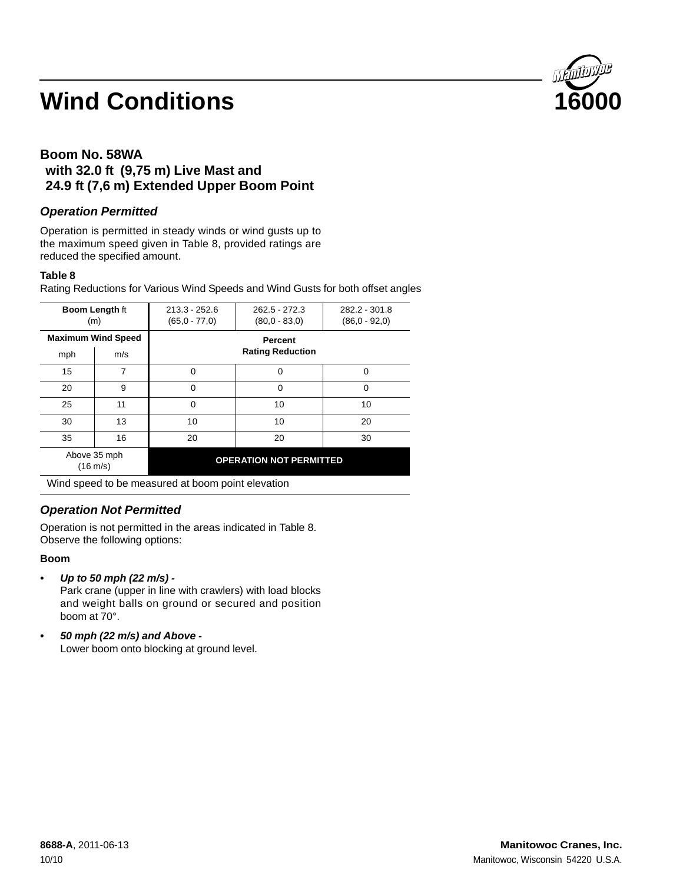

# **Boom No. 58WA with 32.0 ft (9,75 m) Live Mast and 24.9 ft (7,6 m) Extended Upper Boom Point**

### *Operation Permitted*

Operation is permitted in steady winds or wind gusts up to the maximum speed given in Table 8, provided ratings are reduced the specified amount.

#### **Table 8**

Rating Reductions for Various Wind Speeds and Wind Gusts for both offset angles

| <b>Boom Length ft</b><br>(m)       |                           | $213.3 - 252.6$<br>$(65.0 - 77.0)$                              | $262.5 - 272.3$<br>$(80.0 - 83.0)$ | 282.2 - 301.8<br>$(86.0 - 92.0)$ |
|------------------------------------|---------------------------|-----------------------------------------------------------------|------------------------------------|----------------------------------|
|                                    | <b>Maximum Wind Speed</b> | <b>Percent</b>                                                  |                                    |                                  |
| mph                                | m/s                       |                                                                 |                                    |                                  |
| 15                                 | 7                         | $\Omega$                                                        | 0                                  | $\Omega$                         |
| 20                                 | 9                         | $\Omega$                                                        | 0                                  | 0                                |
| 25                                 | 11                        | $\Omega$                                                        | 10                                 | 10                               |
| 30                                 | 13                        | 10                                                              | 10                                 | 20                               |
| 35                                 | 16                        | 20                                                              | 20                                 | 30                               |
| Above 35 mph<br>$(16 \text{ m/s})$ |                           |                                                                 | <b>OPERATION NOT PERMITTED</b>     |                                  |
|                                    |                           | $\mathbf{r}$ and $\mathbf{r}$ and $\mathbf{r}$ and $\mathbf{r}$ | .                                  |                                  |

Wind speed to be measured at boom point elevation

# *Operation Not Permitted*

Operation is not permitted in the areas indicated in Table 8. Observe the following options:

#### **Boom**

*• Up to 50 mph (22 m/s) -*

Park crane (upper in line with crawlers) with load blocks and weight balls on ground or secured and position boom at 70°.

*• 50 mph (22 m/s) and Above -* Lower boom onto blocking at ground level.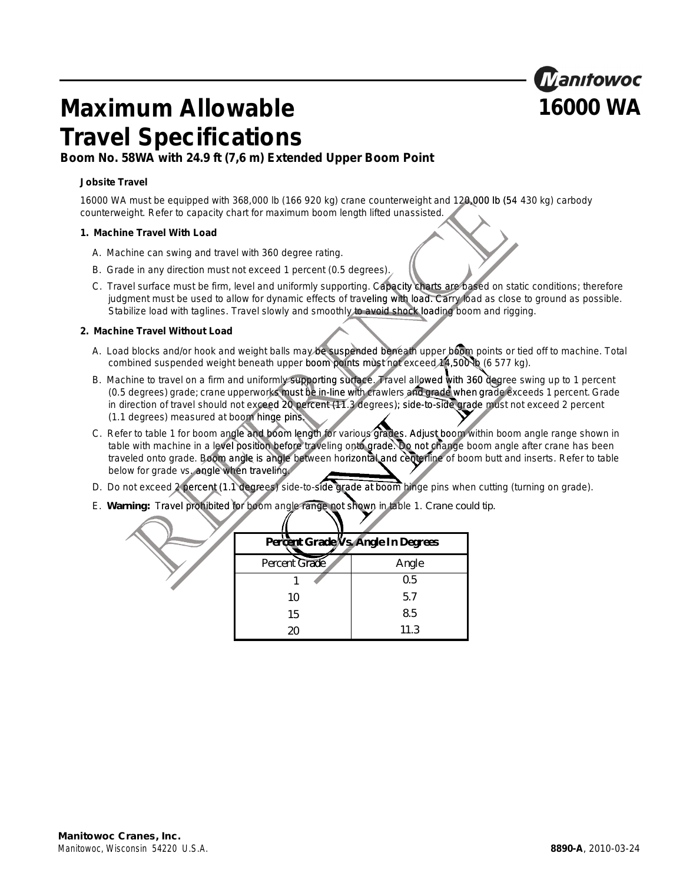

# **Maximum Allowable 16000 WA Travel Specifications**

# **Boom No. 58WA with 24.9 ft (7,6 m) Extended Upper Boom Point**

#### **Jobsite Travel**

16000 WA must be equipped with 368,000 lb (166 920 kg) crane counterweight and 120,000 lb (54 430 kg) carbody counterweight. Refer to capacity chart for maximum boom length lifted unassisted.

#### **1. Machine Travel With Load**

- A. Machine can swing and travel with 360 degree rating.
- B. Grade in any direction must not exceed 1 percent (0.5 degrees).
- C. Travel surface must be firm, level and uniformly supporting. Capacity charts are based on static conditions; therefore Travel surface must be firm, level and uniformly supporting. Capacity charts are based on static conditions; therefore<br>judgment must be used to allow for dynamic effects of traveling with load. Carry load as close to groun Stabilize load with taglines. Travel slowly and smoothly to avoid shock loading boom and rigging. mly supporting. Capacity charts are<br>
effects of traveling with load. Carry<br>
d smoothly to avoid shock loading b<br>
ay be suspended beneath upper boto<br>
boom points must not exceed 14,50<br>
oporting surface. Travel allowed with<br>

#### **2. Machine Travel Without Load**

- A. Load blocks and/or hook and weight balls may be suspended beneath upper boom points or tied off to machine. Total combined suspended weight beneath upper boom points must not exceed 14,500 lb (6 577 kg).
- B. Machine to travel on a firm and uniformly supporting surface. Travel allowed with 360 degree swing up to 1 percent (0.5 degrees) grade; crane upperworks must be in-line with crawlers and grade when grade exceeds 1 percent. Grade in direction of travel should not exceed 20 percent (11.3 degrees); side-to-side grade must not exceed 2 percent (1.1 degrees) measured at boom hinge pins. may be suspended beneath upper<br>ber boom points must not exceed Asupporting surface. Travel allowed<br>ust be in-line with crawlers and grade<br>percent (11.3 degrees); side-to-side<br>ins<br>length for various grades. Adjust be<br>perfec
- C. Refer to table 1 for boom angle and boom length for various grades. Adjust boom within boom angle range shown in table with machine in a level position before traveling onto grade. Do not change boom angle after crane has been traveled onto grade. Boom angle is angle between horizontal and centerline of boom butt and inserts. Refer to table below for grade vs. angle when traveling.
- D. Do not exceed 2 percent (1.1 degrees) side-to-side grade at boom hinge pins when cutting (turning on grade).
- E. *Warning:* Travel prohibited for boom angle range not shown in table 1. *Crane could tip.*

|               | Percent Grade Vs. Angle In Degrees |
|---------------|------------------------------------|
| Percent Grade | Angle                              |
|               | 0.5                                |
| 10            | 5.7                                |
| 15            | 8.5                                |
| 20            | 11.3                               |